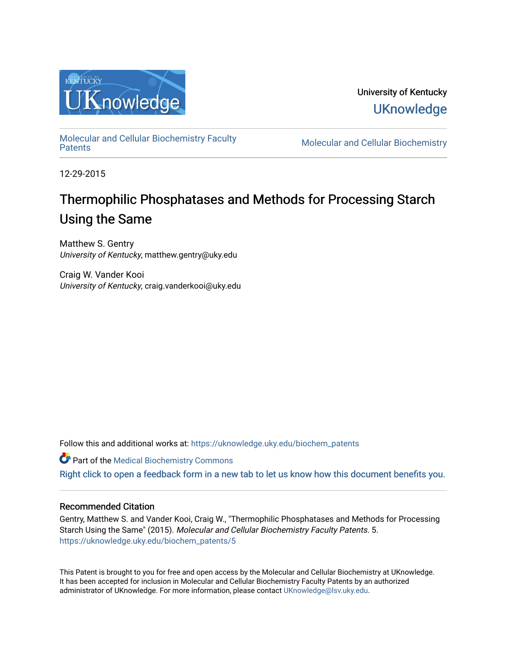

University of Kentucky **UKnowledge** 

[Molecular and Cellular Biochemistry Faculty](https://uknowledge.uky.edu/biochem_patents) 

**Molecular and Cellular Biochemistry** 

12-29-2015

# Thermophilic Phosphatases and Methods for Processing Starch Using the Same

Matthew S. Gentry University of Kentucky, matthew.gentry@uky.edu

Craig W. Vander Kooi University of Kentucky, craig.vanderkooi@uky.edu

Follow this and additional works at: [https://uknowledge.uky.edu/biochem\\_patents](https://uknowledge.uky.edu/biochem_patents?utm_source=uknowledge.uky.edu%2Fbiochem_patents%2F5&utm_medium=PDF&utm_campaign=PDFCoverPages) 

Part of the [Medical Biochemistry Commons](http://network.bepress.com/hgg/discipline/666?utm_source=uknowledge.uky.edu%2Fbiochem_patents%2F5&utm_medium=PDF&utm_campaign=PDFCoverPages) 

[Right click to open a feedback form in a new tab to let us know how this document benefits you.](https://uky.az1.qualtrics.com/jfe/form/SV_9mq8fx2GnONRfz7)

# Recommended Citation

Gentry, Matthew S. and Vander Kooi, Craig W., "Thermophilic Phosphatases and Methods for Processing Starch Using the Same" (2015). Molecular and Cellular Biochemistry Faculty Patents. 5. [https://uknowledge.uky.edu/biochem\\_patents/5](https://uknowledge.uky.edu/biochem_patents/5?utm_source=uknowledge.uky.edu%2Fbiochem_patents%2F5&utm_medium=PDF&utm_campaign=PDFCoverPages) 

This Patent is brought to you for free and open access by the Molecular and Cellular Biochemistry at UKnowledge. It has been accepted for inclusion in Molecular and Cellular Biochemistry Faculty Patents by an authorized administrator of UKnowledge. For more information, please contact [UKnowledge@lsv.uky.edu](mailto:UKnowledge@lsv.uky.edu).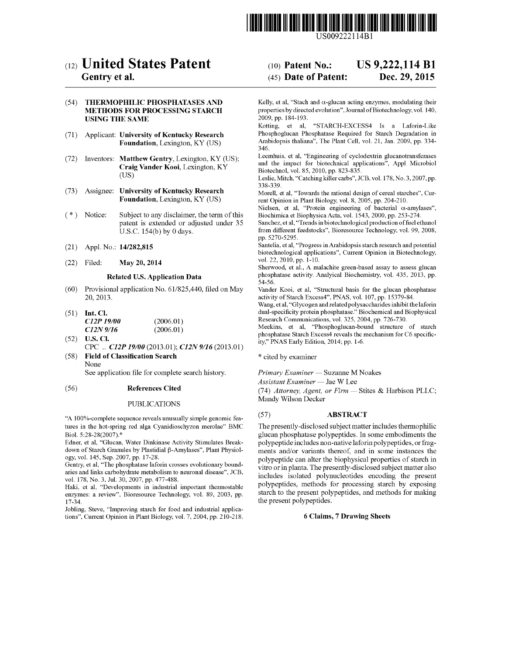

US009222114Bl

# c12) United States Patent

# Gentry et al.

#### (54) THERMOPHILIC PHOSPHATASES AND METHODS FOR PROCESSING STARCH USING THE SAME

- (71) Applicant: University of Kentucky Research Foundation, Lexington, KY (US)
- (72) Inventors: Matthew Gentry, Lexington, KY (US); Craig Vander Kooi, Lexington, KY (US)
- (73) Assignee: University of Kentucky Research Foundation, Lexington, KY (US)
- (\*) Notice: Subject to any disclaimer, the term of this patent is extended or adjusted under 35 U.S.C. 154(b) by 0 days.
- (21) Appl. No.: **14/282,815**
- (22) May 20, 2014

# Related U.S. Application Data

- (60) Provisional application No. 61/825,440, filed on May 20,2013.
- $(51)$  Int. Cl. *C12P 19100 C12N9/16*  (2006.01) (2006.01)
- (52) U.S. Cl. CPC .. *C12P 19100* (2013.01); *C12N 9116* (2013.01)
- (58) Field of Classification Search None

See application file for complete search history.

#### (56) References Cited

#### PUBLICATIONS

"A 100%-complete sequence reveals unusually simple genomic features in the hot-spring red alga Cyanidioschyzon merolae" BMC Biol. 5:28-28(2007).\*

Edner, et al, "Glucan, Water Dinkinase Activity Stimulates Breakdown of Starch Granules by Plastidial  $\beta$ -Amylases", Plant Physiology, vol. 145, Sep. 2007, pp. 17-28.

Gentry, et al, "The phosphatase laforin crosses evolutionary boundaries and links carbohydrate metabolism to neuronal disease", JCB, vol. 178, No.3, Jul. 30, 2007, pp. 477-488.

Haki, et al, "Developments in industrial important thermostable enzymes: a review", Bioresource Technology, vol. 89, 2003, pp. 17-34.

Jobling, Steve, "Improving starch for food and industrial applications", Current Opinion in Plant Biology, vol. 7, 2004, pp. 210-218.

# (10) Patent No.: US 9,222,114 B1

#### (45) Date of Patent: Dec. 29, 2015

Kelly, et al, "Stach and  $\alpha$ -glucan acting enzymes, modulating their properties by directed evolution", Journal of Biotechnology, vol. 140, 2009, pp. 184-193.

Kotting, et al, "STARCH-EXCESS4 Is a Laforin-Like Phosphoglucan Phosphatase Required for Starch Degradation in Arabidopsis thaliana", The Plant Cell, vol. 21, Jan. 2009, pp. 334- 346.

Leernhuis, et al, "Engineering of cyclodextrin glucanotransferases and the impact for biotechnical applications", Appl Microbiol Biotechnol, vol. 85, 2010, pp. 823-835.

Leslie, Mitch, "Catching killer carbs", JCB, vol. 178, No.3, 2007, pp. 338-339.

Morell, et al, "Towards the rational design of cereal starches", Current Opinion in Plant Biology, vol. 8, 2005, pp. 204-210.

Nielsen, et al, "Protein engineering of bacterial  $\alpha$ -amylases", Biochimica et Biophysica Acta, vol. 1543, 2000, pp. 253-274.

Sanchez, et al, "Trends in biotechnological production of fuel ethanol from different feedstocks", Bioresource Technology, vol. 99, 2008, pp. 5270-5295.

Santelia, et al, "Progress in Arabidopsis starch research and potential biotechnological applications", Current Opinion in Biotechnology, vol. 22,2010, pp. 1-10.

Sherwood, et a!., A malachite green-based assay to assess glucan phosphatase activity. Analyical Biochemistry, vol. 435, 2013, pp. 54-56.

Vander Kooi, et al, "Structural basis for the glucan phosphatase activity of Starch Excess4", PNAS, vol. 107, pp. 15379-84.

Wang, et al, "Glycogen and related polysaccharides inhibit the laforin dual-specificity protein phosphatase." Biochemical and Biophysical Research Communications, vol. 325, 2004, pp. 726-730.

Meekins, et a!, "Phosphoglucan-bound structure of starch phosphatase Starch Excess4 reveals the mechanism for C6 specificity," PNAS Early Edition, 2014; pp. 1-6.

\* cited by examiner

*Primary Examiner* - Suzanne M Noakes

*Assistant Examiner-* Jae W Lee

(74) *Attorney, Agent, or Firm-* Stites & Harbison PLLC; Mandy Wilson Decker

# (57) ABSTRACT

The presently-disclosed subject matter includes thermophilic glucan phosphatase polypeptides. In some embodiments the polypeptide includes non-native laforin polypeptides, or fragments and/or variants thereof, and in some instances the polypeptide can alter the biophysical properties of starch in vitro or in planta. The presently-disclosed subject matter also includes isolated polynucleotides encoding the present polypeptides, methods for processing starch by exposing starch to the present polypeptides, and methods for making the present polypeptides.

### 6 Claims, 7 Drawing Sheets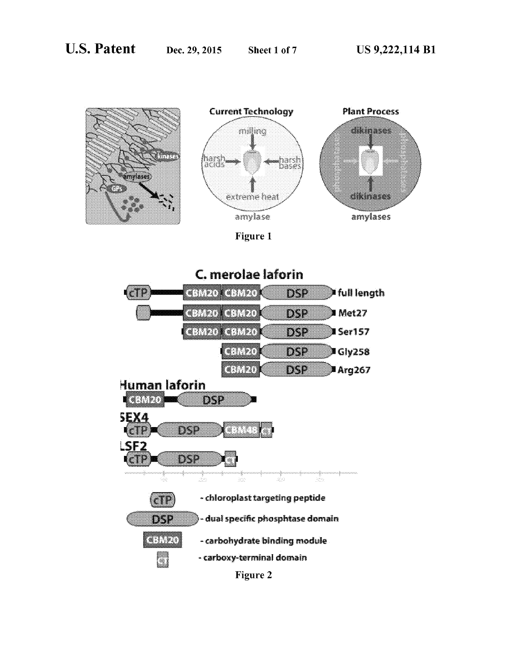





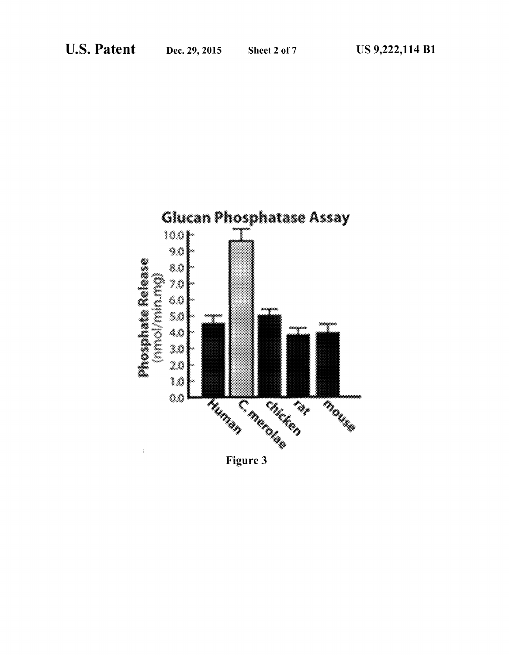

Figure 3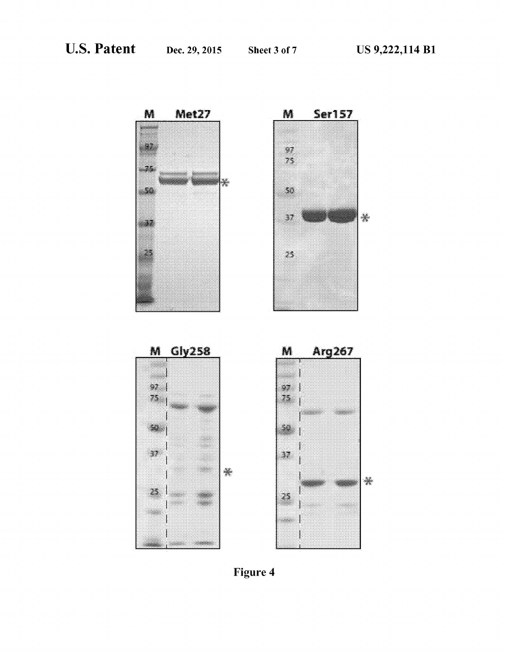

Figure 4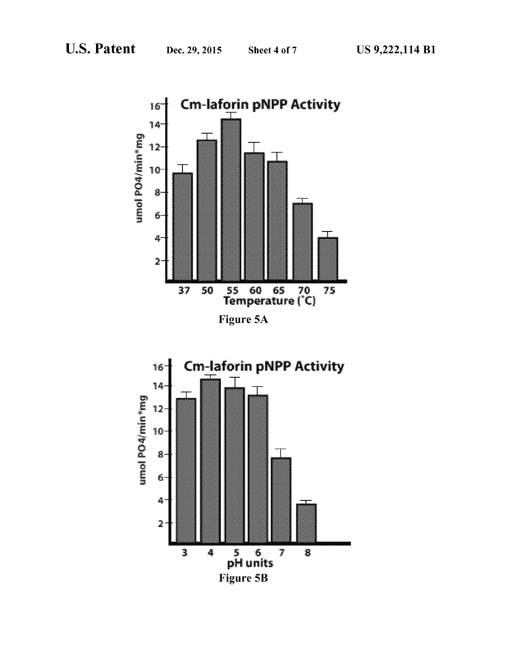



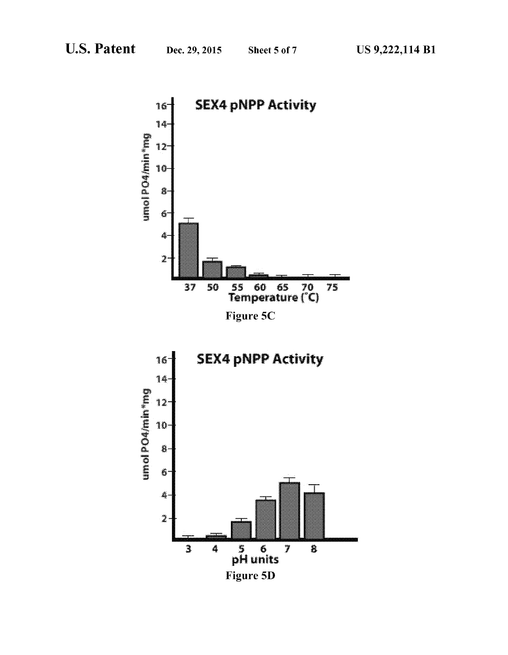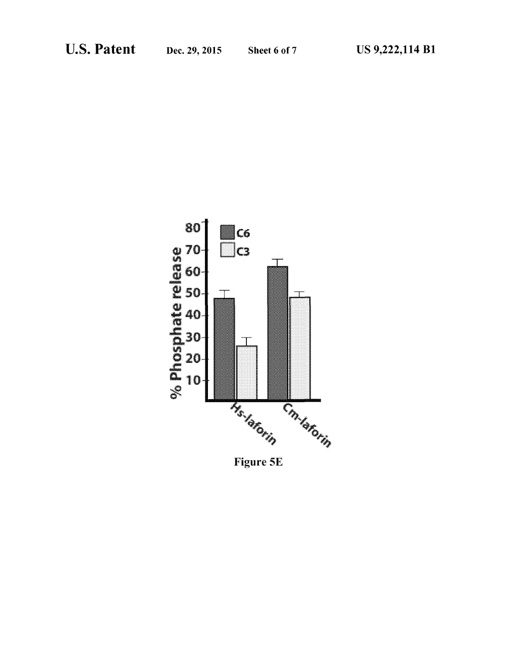

Figure 5E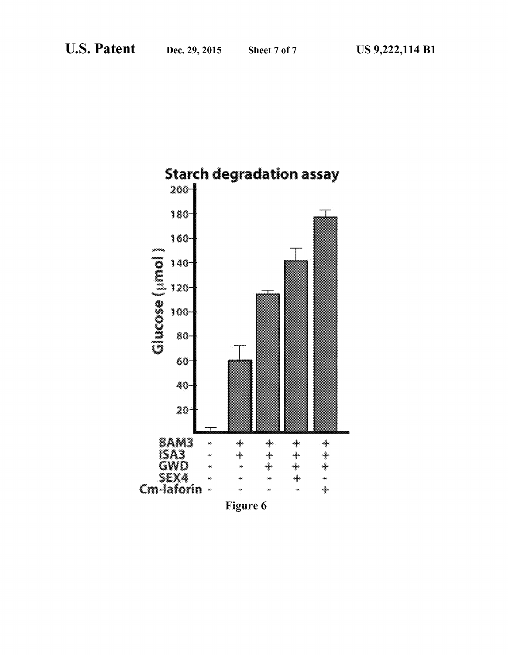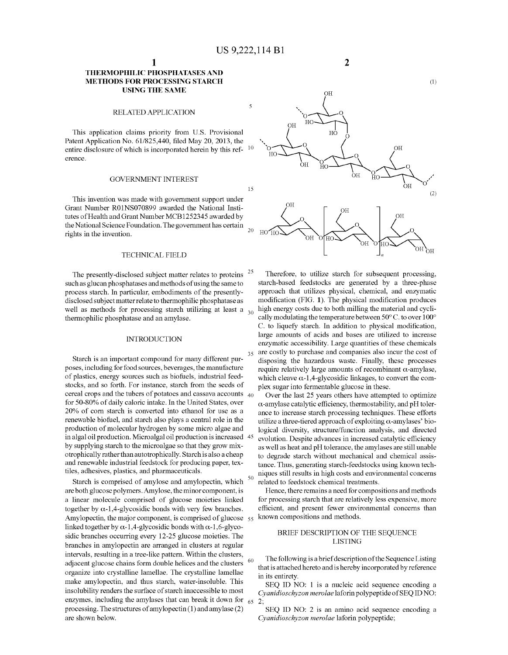# **THERMOPHILIC PHOSPHATASES AND METHODS FOR PROCESSING STARCH USING THE SAME**

#### RELATED APPLICATION

This application claims priority from U.S. Provisional Patent Application No. 61/825,440, filed May 20, 2013, the entire disclosure of which is incorporated herein by this ref- $10$ erence.

#### GOVERNMENT INTEREST

This invention was made with government support under Grant Number R01NS070899 awarded the National Institutes of Health and Grant Number MCB1252345 awarded by the National Science Foundation. The government has certain rights in the invention.

#### TECHNICAL FIELD

The presently-disclosed subject matter relates to proteins <sup>25</sup> such as glucan phosphatases and methods of using the same to process starch. In particular, embodiments of the presentlydisclosed subject matter relate to thermophilic phosphatase as well as methods for processing starch utilizing at least a  $_{30}$  high energy costs due to both milling the material and cycli-<br>thermophilic phosphatase and an amylase.

Starch is an important compound for many different purposes, including for food sources, beverages, the manufacture of plastics, energy sources such as biofuels, industrial feedstocks, and so forth. For instance, starch from the seeds of cereal crops and the tubers of potatoes and cassava accounts  $\Delta_0$ for 50-80% of daily caloric intake. In the United States, over 20% of com starch is converted into ethanol for use as a renewable biofuel, and starch also plays a central role in the production of molecular hydrogen by some micro algae and in algal oil production. Microalgal oil production is increased by supplying starch to the microalgae so that they grow mixotrophically rather than autotrophically. Starch is also a cheap and renewable industrial feedstock for producing paper, textiles, adhesives, plastics, and pharmaceuticals.

Starch is comprised of amylose and amylopectin, which are both glucose polymers. Amylose, the minor component, is a linear molecule comprised of glucose moieties linked together by  $\alpha$ -1,4-glycosidic bonds with very few branches. Amylopectin, the major component, is comprised of glucose 55 linked together by  $\alpha$ -1,4-glycosidic bonds with  $\alpha$ -1,6-glycosidic branches occurring every 12-25 glucose moieties. The branches in amylopectin are arranged in clusters at regular intervals, resulting in a tree-like pattern. Within the clusters, adjacent glucose chains form double helices and the clusters <sup>60</sup> organize into crystalline lamellae. The crystalline lamellae make amylopectin, and thus starch, water-insoluble. This insolubility renders the surface of starch inaccessible to most enzymes, including the amylases that can break it down for  $65$ processing. The structures of amylopectin (1) and amylase (2) are shown below.



**2** 

Therefore, to utilize starch for subsequent processing, starch-based feedstocks are generated by a three-phase approach that utilizes physical, chemical, and enzymatic modification (FIG. 1). The physical modification produces high energy costs due to both milling the material and cyclically modulating the temperature between 50° C. to over 100° C. to liquefy starch. In addition to physical modification, large amounts of acids and bases are utilized to increase INTRODUCTION<br>enzymatic accessibility. Large quantities of these chemicals are costly to purchase and companies also incur the cost of disposing the hazardous waste. Finally, these processes require relatively large amounts of recombinant  $\alpha$ -amylase, which cleave  $\alpha$ -1,4-glycosidic linkages, to convert the complex sugar into fermentable glucose in these.

> Over the last 25 years others have attempted to optimize  $\alpha$ -amylase catalytic efficiency, thermostability, and pH tolerance to increase starch processing techniques. These efforts utilize a three-tiered approach of exploiting  $\alpha$ -amylases' biological diversity, structure/function analysis, and directed evolution. Despite advances in increased catalytic efficiency as well as heat and pH tolerance, the amylases are still unable to degrade starch without mechanical and chemical assistance. Thus, generating starch-feedstocks using known tech-50 niques still results in high costs and environmental concerns related to feedstock chemical treatments.

> Hence, there remains a need for compositions and methods for processing starch that are relatively less expensive, more efficient, and present fewer environmental concerns than known compositions and methods.

# BRIEF DESCRIPTION OF THE SEQUENCE LISTING

The following is a brief description of the Sequence Listing that is attached hereto and is hereby incorporated by reference in its entirety.

SEQ ID NO: 1 is a nucleic acid sequence encoding a *Cyanidioschyzon merolae* laforin polypeptide of SEQ ID NO: 2;

SEQ ID NO: 2 is an amino acid sequence encoding a *Cyanidioschyzon merolae* laforin polypeptide;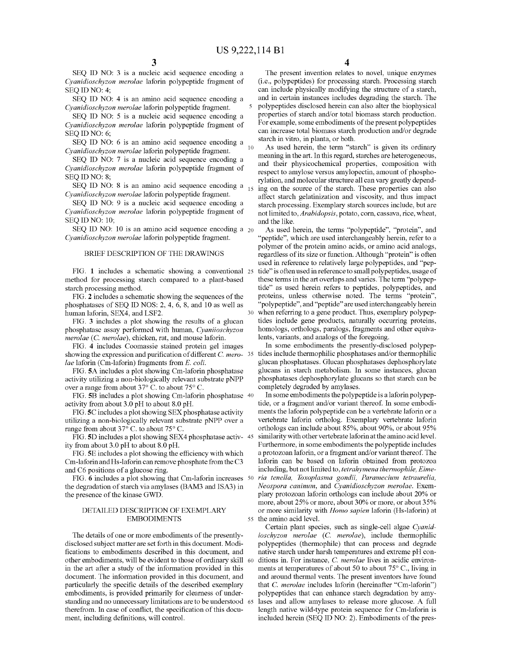$\sqrt{5}$ 

SEQ ID NO: 3 is a nucleic acid sequence encoding a *Cyanidioschyzon merolae* laforin polypeptide fragment of SEO ID NO: 4:

SEQ ID NO: 4 is an amino acid sequence encoding a *Cyanidioschyzon merolae* laforin polypeptide fragment.

SEQ ID NO: 5 is a nucleic acid sequence encoding a *Cyanidioschyzon merolae* laforin polypeptide fragment of SEQ ID NO: 6;

 $\text{seq}$  ID NO: 6 is an amino acid sequence encoding a starch in vitro, in planta, or both.<br>  $\text{seq}$  if  $\text{seq}$  is given its ordinary *Cyanidioschyzon merolae* laforin polypeptide fragment.

SEQ ID NO: 7 is a nucleic acid sequence encoding a *Cyanidioschyzon merolae* laforin polypeptide fragment of SEQ ID NO: 8;

SEQ ID NO: 8 is an amino acid sequence encoding a  $_{15}$ *Cyanidioschyzon merolae* laforin polypeptide fragment.

SEQ ID NO: 9 is a nucleic acid sequence encoding a *Cyanidioschyzon merolae* laforin polypeptide fragment of SEQ ID NO: 10;

SEQ ID NO: 10 is an amino acid sequence encoding a 20 *Cyanidioschyzon merolae* laforin polypeptide fragment.

#### BRIEF DESCRIPTION OF THE DRAWINGS

FIG. **1** includes a schematic showing a conventional method for processing starch compared to a plant-based starch processing method.

FIG. **2** includes a schematic showing the sequences of the phosphatases of SEQ ID NOS: 2, 4, 6, 8, and 10 as well as human laforin, SEX4, and LSF2.

FIG. 3 includes a plot showing the results of a glucan phosphatase assay performed with human, *Cyaniioschyzon merolae* (*C. merolae*), chicken, rat, and mouse laforin.

FIG. **4** includes Coomassie stained protein gel images showing the expression and purification of different C. *merolae* laforin (Cm-laforin) fragments from E. *coli.* 

FIG. SA includes a plot showing Cm-laforin phosphatase activity utilizing a non-biologically relevant substrate pNPP over a range from about 37° C. to about 75° C.

FIG. SB includes a plot showing Cm-laforin phosphatase 40 activity from about 3.0 pH to about 8.0 pH.

FIG. SC includes a plot showing SEX phosphatase activity utilizing a non-biologically relevant substrate pNPP over a range from about 37° C. to about 75° C.

FIG. SD includes a plot showing SEX4 phosphatase activity from about 3.0 pH to about 8.0 pH.

FIG. SE includes a plot showing the efficiency with which Cm -laforin and Hs-laforin can remove phosphate from the C3 and C6 positions of a glucose ring.

FIG. **6** includes a plot showing that Cm-laforin increases the degradation of starch via amylases (BAM3 and ISA3) in the presence of the kinase GWD.

# DETAILED DESCRIPTION OF EXEMPLARY EMBODIMENTS

The details of one or more embodiments of the presentlydisclosed subject matter are set forth in this document. Modifications to embodiments described in this document, and other embodiments, will be evident to those of ordinary skill in the art after a study of the information provided in this document. The information provided in this document, and particularly the specific details of the described exemplary embodiments, is provided primarily for clearness of understanding and no unnecessary limitations are to be understood 65 therefrom. In case of conflict, the specification of this document, including definitions, will control.

**4** 

The present invention relates to novel, unique enzymes (i.e., polypeptides) for processing starch. Processing starch can include physically modifying the structure of a starch, and in certain instances includes degrading the starch. The polypeptides disclosed herein can also alter the biophysical properties of starch and/or total biomass starch production. For example, some embodiments of the present polypeptides can increase total biomass starch production and/or degrade

meaning in the art. In this regard, starches are heterogeneous, and their physicochemical properties, composition with respect to amylose versus amylopectin, amount of phosphorylation, and molecular structure all can vary greatly depending on the source of the starch. These properties can also affect starch gelatinization and viscosity, and thus impact starch processing. Exemplary starch sources include, but are not limited to, *Arabidopsis,* potato, corn, cassava, rice, wheat, and the like.

As used herein, the terms "polypeptide", "protein", and "peptide", which are used interchangeably herein, refer to a polymer of the protein amino acids, or amino acid analogs, regardless of its size or function. Although "protein" is often used in reference to relatively large polypeptides, and "peptide" is often used in reference to small polypeptides, usage of these terms in the art overlaps and varies. The term "polypeptide" as used herein refers to peptides, polypeptides, and proteins, unless otherwise noted. The terms "protein", "polypeptide", and "peptide" are used interchangeably herein when referring to a gene product. Thus, exemplary polypeptides include gene products, naturally occurring proteins, homologs, orthologs, paralogs, fragments and other equivalents, variants, and analogs of the foregoing.

In some embodiments the presently-disclosed polypeptides include thermophilic phosphatases and/or thermophilic glucan phosphatases. Glucan phosphatases dephosphorylate glucans in starch metabolism. In some instances, glucan phosphatases dephosphorylate glucans so that starch can be completely degraded by amylases.

In some embodiments the polypeptide is a laforin polypeptide, or a fragment and/or variant thereof. In some embodiments the laforin polypeptide can be a vertebrate laforin or a vertebrate laforin ortholog. Exemplary vertebrate laforin orthologs can include about 85%, about 90%, or about 95% similarity with other vertebrate laforin at the amino acid level. Furthermore, in some embodiments the polypeptide includes a protozoan laforin, or a fragment and/or variant thereof. The laforin can be based on laforin obtained from protozoa including, but not limited to, *tetrahymena thermophile, Eime-*50 *ria tenella, Toxoplasma gondii, Paramecium tetraurelia, Neospora caninum,* and *Cyanidioschyzon merolae.* Exemplary protozoan laforin orthologs can include about 20% or more, about 25% or more, about 30% or more, or about 35% or more similarity with *Homo sapien* laforin (Hs-laforin) at 55 the amino acid level.

Certain plant species, such as single-cell algae *Cyanidioschyzon merolae* (C. *merolae),* include thermophilic polypeptides (thermophile) that can process and degrade native starch nnder harsh temperatures and extreme pH conditions in. For instance, C. merolae lives in acidic environments at temperatures of about 50 to about 75° C., living in and around thermal vents. The present inventors have found that C. *merolae* includes laforin (hereinafter "Cm-laforin") polypeptides that can enhance starch degradation by amylases and allow amylases to release more glucose. A full length native wild-type protein sequence for Cm-laforin is included herein (SEQ ID NO: 2). Embodiments of the pres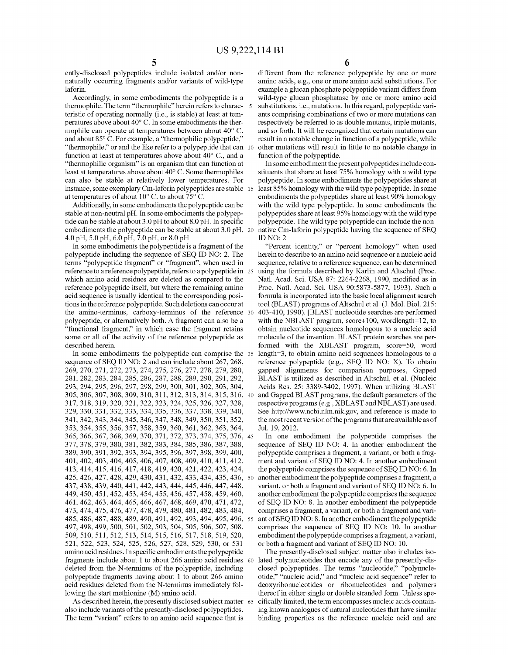ently-disclosed polypeptides include isolated and/or nonnaturally occurring fragments and/or variants of wild-type laforin.

Accordingly, in some embodiments the polypeptide is a thermophile. The term "thermophile" herein refers to charac- 5 teristic of operating normally (i.e., is stable) at least at temperatures above about 40° C. In some embodiments the thermophile can operate at temperatures between about 40° C. and about 85° C. For example, a "thermophilic polypeptide," "thermophile," or and the like refer to a polypeptide that can 10 function at least at temperatures above about 40° C., and a "thermophilic organism" is an organism that can function at least at temperatures above about 40° C. Some thermophiles can also be stable at relatively lower temperatures. For instance, some exemplary Cm-laforin polypeptides are stable 15 at temperatures of about 10° C. to about 75° C.

Additionally, in some embodiments the polypeptide can be stable at non-neutral pH. In some embodiments the polypeptide can be stable at about 3.0 pH to about 8.0 pH. In specific embodiments the polypeptide can be stable at about 3.0 pH, 20 4.0 pH, 5.0 pH, 6.0 pH, 7.0 pH, or 8.0 pH.

In some embodiments the polypeptide is a fragment of the polypeptide including the sequence of SEQ ID NO: 2. The terms "polypeptide fragment" or "fragment", when used in reference to a reference polypeptide, refers to a polypeptide in 25 which amino acid residues are deleted as compared to the reference polypeptide itself, but where the remaining amino acid sequence is usually identical to the corresponding positions in the reference polypeptide. Such deletions can occur at the amino-terminus, carboxy-terminus of the reference 30 polypeptide, or alternatively both. A fragment can also be a "functional fragment," in which case the fragment retains some or all of the activity of the reference polypeptide as described herein.

In some embodiments the polypeptide can comprise the 35 sequence of SEQ ID NO: 2 and can include about 267, 268, 269,270,271,272,273,274,275,276,277,278,279,280, 281,282,283,284,285,286,287,288,289,290,291,292, 293,294,295,296,297,298,299,300,301,302,303,304, 305,306,307,308,309,310,311,312,313,314,315,316, 317,318,319,320,321,322,323,324,325,326,327,328, 329,330,331,332,333,334,335,336,337,338,339,340, 341,342,343,344,345,346,347,348,349,350,351,352, 353,354,355,356,357,358,359,360,361,362,363,364, 365,366,367,368,369,370,371,372,373,374,375,376, 45 377,378,379,380,381,382,383,384,385,386,387,388, 389,390,391,392,393,394,395,396,397,398,399,400, 401,402,403,404,405,406,407,408,409,410,411,412, 413,414,415,416,417,418,419,420,421,422,423,424, 425,426,427,428,429,430,431,432,433,434,435,436, 437,438,439,440,441,442,443,444,445,446,447,448, 449,450,451,452,453,454,455,456,457,458,459,460, 461,462,463,464,465,466,467,468,469,470,471,472, 473,474,475,476,477,478,479,480,481,482,483,484, 485,486,487,488,489,490,491,492,493,494,495,496, 497,498,499,500,501,502,503,504,505,506,507,508, 509, 510,511,512, 513, 514,515, 516, 517,518, 519, 520, 521, 522, 523, 524, 525, 526, 527, 528, 529, 530, or 531 amino acid residues. In specific embodiments the polypeptide fragments include about 1 to about 266 amino acid residues deleted from the N-terminus of the polypeptide, including polypeptide fragments having about 1 to about 266 amino acid residues deleted from the N-terminus immediately following the start methionine (M) amino acid.

As described herein, the presently disclosed subject matter 65 also include variants of the presently-disclosed polypeptides. The term "variant" refers to an amino acid sequence that is

different from the reference polypeptide by one or more amino acids, e.g., one or more amino acid substitutions. For example a glucan phosphate polypeptide variant differs from wild-type glucan phosphatase by one or more amino acid substitutions, i.e., mutations. In this regard, polypeptide variants comprising combinations of two or more mutations can respectively be referred to as double mutants, triple mutants, and so forth. It will be recognized that certain mutations can result in a notable change in function of a polypeptide, while other mutations will result in little to no notable change in function of the polypeptide.

In some embodiment the present polypeptides include constituents that share at least 75% homology with a wild type polypeptide. In some embodiments the polypeptides share at least 85% homology with the wild type polypeptide. In some embodiments the polypeptides share at least 90% homology with the wild type polypeptide. In some embodiments the polypeptides share at least 95% homology with the wild type polypeptide. The wild type polypeptide can include the nonnative Cm-laforin polypeptide having the sequence of SEQ IDNO: 2.

"Percent identity," or "percent homology" when used herein to describe to an amino acid sequence or a nucleic acid sequence, relative to a reference sequence, can be determined using the formula described by Karlin and Altschul (Proc. Nat!. Acad. Sci. USA 87: 2264-2268, 1990, modified as in Proc. Nat!. Acad. Sci. USA 90:5873-5877, 1993). Such a formula is incorporated into the basic local alignment search tool (BLAST) programs of Altschul et al. (J. Mol. Biol. 215: 403-410, 1990). [BLAST nucleotide searches are performed with the NBLAST program, score+100, wordlength=12, to obtain nucleotide sequences homologous to a nucleic acid molecule of the invention. BLAST protein searches are performed with the XBLAST program, score=50, word length=3, to obtain amino acid sequences homologous to a reference polypeptide (e.g., SEQ ID NO: X). To obtain gapped alignments for comparison purposes, Gapped BLAST is utilized as described in Altschul, et al. (Nucleic Acids Res. 25: 3389-3402, 1997). When utilizing BLAST and Gapped BLAST programs, the default parameters of the respective programs (e.g., XBLAST and NBLAST) are used. See http://www.ncbi.nlm.nik.gov, and reference is made to the most recent version of the programs that are available as of Jul. 19, 2012.

In one embodiment the polypeptide comprises the sequence of SEQ ID NO: 4. In another embodiment the polypeptide comprises a fragment, a variant, or both a fragment and variant of SEQ ID NO: 4. In another embodiment the polypeptide comprises the sequence of SEQ ID NO: 6. In another embodiment the polypeptide comprises a fragment, a variant, or both a fragment and variant of SEQ ID NO: 6. In another embodiment the polypeptide comprises the sequence of SEQ ID NO: 8. In another embodiment the polypeptide comprises a fragment, a variant, or both a fragment and variant of SEQ ID NO: 8. In another embodiment the polypeptide comprises the sequence of SEQ ID NO: 10. In another embodiment the polypeptide comprises a fragment, a variant, or both a fragment and variant of SEQ ID NO: 10.

The presently-disclosed subject matter also includes isolated polynucleotides that encode any of the presently-disclosed polypeptides. The terms "nucleotide," "polynucleotide," "nucleic acid," and "nucleic acid sequence" refer to deoxyribonucleotides or ribonucleotides and polymers thereof in either single or double stranded form. Unless specifically limited, the term encompasses nucleic acids containing known analogues of natural nucleotides that have similar binding properties as the reference nucleic acid and are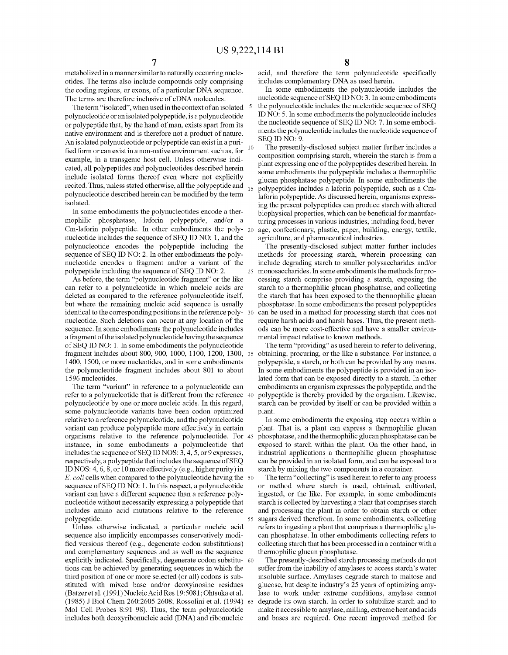metabolized in a manner similar to naturally occurring nucleotides. The terms also include compounds only comprising the coding regions, or exons, of a particular DNA sequence. The terms are therefore inclusive of eDNA molecules.

The term "isolated", when used in the context of an isolated <sup>5</sup> polynucleotide or an isolated polypeptide, is a polynucleotide or polypeptide that, by the hand of man, exists apart from its native environment and is therefore not a product of nature. An isolated polynucleotide or polypeptide can exist in a purified form or can exist in a non-native environment such as, for  $10$ example, in a transgenic host cell. Unless otherwise indicated, all polypeptides and polynucleotides described herein include isolated forms thereof even where not explicitly recited. Thus, unless stated otherwise, all the polypeptide and 15 polynucleotide described herein can be modified by the term isolated.

In some embodiments the polynucleotides encode a thermophilic phosphatase, laforin polypeptide, and/or a Cm-laforin polypeptide. In other embodiments the poly- 20 nucleotide includes the sequence of SEQ ID NO: 1, and the polynucleotide encodes the polypeptide including the sequence of SEQ ID NO: 2. In other embodiments the polynucleotide encodes a fragment and/or a variant of the polypeptide including the sequence of SEQ ID NO: 2.

As before, the term "polynucleotide fragment" or the like can refer to a polynucleotide in which nucleic acids are deleted as compared to the reference polynucleotide itself, but where the remaining nucleic acid sequence is usually identical to the corresponding positions in the reference polynucleotide. Such deletions can occur at any location of the sequence. In some embodiments the polynucleotide includes a fragment of the isolated polynucleotide having the sequence of SEQ ID NO: 1. In some embodiments the polynucleotide fragment includes about 800, 900, 1000, 1100, 1200, 1300, 1400, 1500, or more nucleotides, and in some embodiments the polynucleotide fragment includes about 801 to about 1596 nucleotides.

The term "variant" in reference to a polynucleotide can refer to a polynucleotide that is different from the reference 40 polynucleotide by one or more nucleic acids. In this regard, some polynucleotide variants have been codon optimized relative to a reference polynucleotide, and the polynucleotide variant can produce polypeptide more effectively in certain organisms relative to the reference polynucleotide. For instance, in some embodiments a polynucleotide that includes the sequence of SEQ ID NOS: 3, 4, 5, or 9 expresses, respectively, a polypeptide that includes the sequence of SEQ ID NOS: 4, 6, 8, or 10 more effectively (e.g., higher purity) in E. *coli* cells when compared to the polynucleotide having the 50 sequence of SEQ ID NO: 1. In this respect, a polynucleotide variant can have a different sequence than a reference polynucleotide without necessarily expressing a polypeptide that includes amino acid mutations relative to the reference

Unless otherwise indicated, a particular nucleic acid sequence also implicitly encompasses conservatively modified versions thereof (e.g., degenerate codon substitutions) and complementary sequences and as well as the sequence explicitly indicated. Specifically, degenerate codon substitu- 60 tions can be achieved by generating sequences in which the third position of one or more selected (or all) codons is substituted with mixed base and/or deoxyinosine residues (Batzer et al. (1991) Nucleic Acid Res 19:5081; Ohtsuka et al. (1985) J Biol Chem 260:2605 2608; Rossolini et al. (1994) 65 Mol Cell Probes 8:91 98). Thus, the term polynucleotide includes both deoxyribonucleic acid (DNA) and ribonucleic

acid, and therefore the term polynucleotide specifically includes complementary DNA as used herein.

In some embodiments the polynucleotide includes the nucleotide sequence of SEQ ID NO: 3. In some embodiments the polynucleotide includes the nucleotide sequence of SEQ ID NO: 5. In some embodiments the polynucleotide includes the nucleotide sequence of SEQ ID NO: 7. In some embodiments the polynucleotide includes the nucleotide sequence of SEQ ID NO: 9.

The presently-disclosed subject matter further includes a composition comprising starch, wherein the starch is from a plant expressing one of the polypeptides described herein. In some embodiments the polypeptide includes a thermophilic glucan phosphatase polypeptide. In some embodiments the polypeptides includes a laforin polypeptide, such as a Cmlaforin polypeptide. As discussed herein, organisms expressing the present polypeptides can produce starch with altered biophysical properties, which can be beneficial for manufacturing processes in various industries, including food, beverage, confectionary, plastic, paper, building, energy, textile, agriculture, and pharmaceutical industries.

The presently-disclosed subject matter further includes methods for processing starch, wherein processing can include degrading starch to smaller polysaccharides and/or 25 monosaccharides. In some embodiments the methods for processing starch comprise providing a starch, exposing the starch to a thermophilic glucan phosphatase, and collecting the starch that has been exposed to the thermophilic glucan phosphatase. In some embodiments the present polypeptides can be used in a method for processing starch that does not require harsh acids and harsh bases. Thus, the present methods can be more cost-effective and have a smaller environmental impact relative to known methods.

The term "providing" as used herein to refer to delivering, obtaining, procuring, or the like a substance. For instance, a polypeptide, a starch, or both can be provided by any means. In some embodiments the polypeptide is provided in an isolated form that can be exposed directly to a starch. In other embodiments an organism expresses the polypeptide, and the polypeptide is thereby provided by the organism. Likewise, starch can be provided by itself or can be provided within a plant.

In some embodiments the exposing step occurs within a plant. That is, a plant can express a thermophilic glucan 45 phosphatase, and the thermophilic glucan phosphatase can be exposed to starch within the plant. On the other hand, in industrial applications a thermophilic glucan phosphatase can be provided in an isolated form, and can be exposed to a starch by mixing the two components in a container.

The term "collecting" is used herein to refer to any process or method where starch is used, obtained, cultivated, ingested, or the like. For example, in some embodiments starch is collected by harvesting a plant that comprises starch and processing the plant in order to obtain starch or other polypeptide. 55 sugars derived therefrom. In some embodiments, collecting refers to ingesting a plant that comprises a thermophilic glucan phosphatase. In other embodiments collecting refers to collecting starch that has been processed in a container with a thermophilic glucan phosphatase.

> The presently-described starch processing methods do not suffer from the inability of amylases to access starch's water insoluble surface. Amylases degrade starch to maltose and glucose, but despite industry's 25 years of optimizing amylase to work under extreme conditions, amylase cannot degrade its own starch. In order to solubilize starch and to make it accessible to amylase, milling, extreme heat and acids and bases are required. One recent improved method for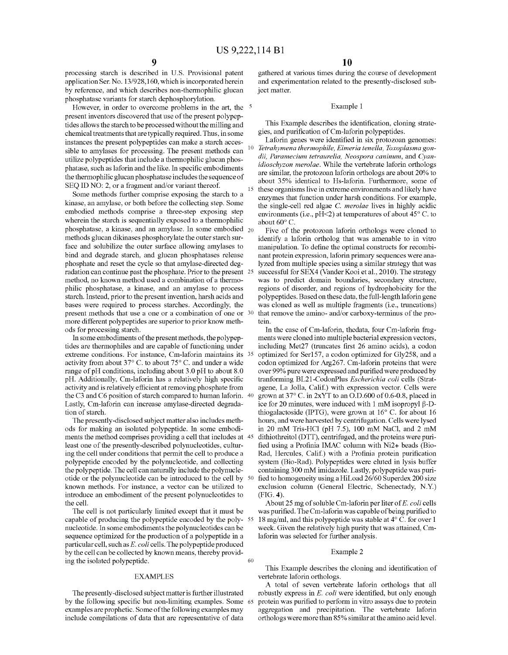processing starch is described in U.S. Provisional patent application Ser. No. 13/928,160, which is incorporated herein by reference, and which describes non-thermophilic glucan phosphatase variants for starch dephosphorylation.

However, in order to overcome problems in the art, the <sup>5</sup> present inventors discovered that use of the present polypeptides allows the starch to be processed without the milling and chemical treatments that are typically required. Thus, in some instances the present polypeptides can make a starch accessible to amylases for processing. The present methods can  $10$ utilize polypeptides that include a thermophilic glucan phosphatase, such as laforin and the like. In specific embodiments the thermophilic glucan phosphatase includes the sequence of SEQ ID NO: 2, or a fragment and/or variant thereof.

Some methods further comprise exposing the starch to a kinase, an amylase, or both before the collecting step. Some embodied methods comprise a three-step exposing step wherein the starch is sequentially exposed to a thermophilic phosphatase, a kinase, and an amylase. In some embodied 20 methods glucan dikinases phosphorylate the outer starch surface and solubilize the outer surface allowing amylases to bind and degrade starch, and glucan phosphatases release phosphate and reset the cycle so that amylase-directed degradation can continue past the phosphate. Prior to the present 25 method, no known method used a combination of a thermophilic phosphatase, a kinase, and an amylase to process starch. Instead, prior to the present invention, harsh acids and bases were required to process starches. Accordingly, the present methods that use a one or a combination of one or 30 more different polypeptides are superior to prior know methods for processing starch.

In some embodiments of the present methods, the polypeptides are thermophiles and are capable of functioning under extreme conditions. For instance, Cm-laforin maintains its 35 activity from about 37° C. to about 75° C. and under a wide range of pH conditions, including about 3.0 pH to about 8.0 pH. Additionally, Cm-laforin has a relatively high specific activity and is relatively efficient at removing phosphate from the C3 and C6 position of starch compared to human laforin. 40 Lastly, Cm-laforin can increase amylase-directed degradation of starch.

The presently-disclosed subject matter also includes methods for making an isolated polypeptide. In some embodiments the method comprises providing a cell that includes at 45 least one of the presently-described polynucleotides, culturing the cell under conditions that permit the cell to produce a polypeptide encoded by the polynucleotide, and collecting the polypeptide. The cell can naturally include the polynucleotide or the polynucleotide can be introduced to the cell by known methods. For instance, a vector can be utilized to introduce an embodiment of the present polynucleotides to the cell.

The cell is not particularly limited except that it must be capable of producing the polypeptide encoded by the polynucleotide. In some embodiments the polynucleotides can be sequence optimized for the production of a polypeptide in a particular cell, such as *E. coli* cells. The polypeptide produced by the cell can be collected by known means, thereby providing the isolated polypeptide.

#### EXAMPLES

The presently -disclosed subject matter is further illustrated by the following specific but non-limiting examples. Some examples are prophetic. Some of the following examples may include compilations of data that are representative of data

gathered at various times during the course of development and experimentation related to the presently-disclosed subject matter.

#### Example 1

This Example describes the identification, cloning strategies, and purification of Cm-laforin polypeptides.

Laforin genes were identified in six protozoan genomes: *Tetrahymena thermophile, Eimeria tenella, Toxoplasma gondii, Paramecium tetraurelia, Neospora caninum,* and *Cyanidioschyzon merolae.* While the vertebrate laforin orthologs are similar, the protozoan laforin orthologs are about 20% to about 35% identical to Hs-laforin. Furthermore, some of these organisms live in extreme environments and likely have enzymes that function under harsh conditions. For example, the single-cell red algae C. *merolae* lives in highly acidic environments (i.e., pH<2) at temperatures of about 45° C. to about 60° C.

Five of the protozoan laforin orthologs were cloned to identify a laforin ortholog that was amenable to in vitro manipulation. To define the optimal constructs for recombinant protein expression, laforin primary sequences were analyzed from multiple species using a similar strategy that was successful for SEX4 (Vander Kooi et al., 2010). The strategy was to predict domain boundaries, secondary structure, regions of disorder, and regions of hydrophobicity for the polypeptides. Based on these data, the full-length laforin gene was cloned as well as multiple fragments (i.e., truncations) that remove the amino- and/or carboxy-terminus of the protein.

In the case of Cm-laforin, thedata, four Cm-laforin fragments were cloned into multiple bacterial expression vectors, including Met27 (truncates first 26 amino acids), a codon optimized for Ser157, a codon optimized for Gly258, and a codon optimized for Arg267. Cm-laforin proteins that were over 99% pure were expressed and purified were produced by tranforming BL21-CodonPlus *Escherichia coli* cells (Stratagene, La Jolla, Calif.) with expression vector. Cells were grown at  $37^{\circ}$  C. in  $2xYT$  to an O.D.600 of 0.6-0.8, placed in ice for 20 minutes, were induced with 1 mM isopropyl  $\beta$ -Dthiogalactoside (IPTG), were grown at 16° C. for about 16 hours, and were harvested by centrifugation. Cells were lysed in 20 mM Tris-HCl (pH 7.5), 100 mM NaCl, and 2 mM dithiothreitol (DTT), centrifuged, and the proteins were purified using a Profinia IMAC column with Ni2+ beads (Bio-Rad, Hercules, Calif.) with a Profinia protein purification system (Bio-Rad). Polypeptides were eluted in lysis buffer containing 300 mM imidazole. Lastly, polypeptide was purified to homogeneity using a HiLoad 26/60 Superdex 200 size exclusion column (General Electric, Schenectady, N.Y.) (FIG. **4).** 

About 25 mg of soluble Cm-laforin per liter of *E. coli* cells was purified. The Cm-laforin was capable of being purified to 18 mg/ml, and this polypeptide was stable at  $4^{\circ}$  C. for over 1 week. Given the relatively high purity that was attained, Cmlaforin was selected for further analysis.

#### Example 2

60

This Example describes the cloning and identification of vertebrate laforin orthologs.

A total of seven vertebrate laforin orthologs that all robustly express in *E. coli* were identified, but only enough protein was purified to perform in vitro assays due to protein aggregation and precipitation. The vertebrate laforin orthologs were more than 85% similar at the amino acid level.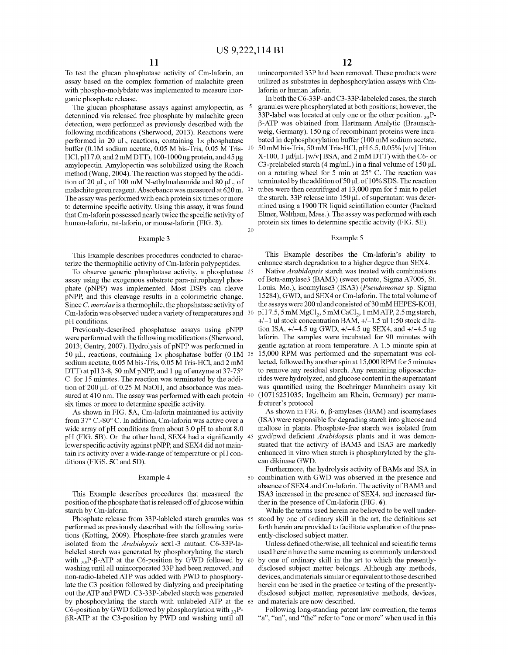20

To test the glucan phosphatase activity of Cm-laforin, an assay based on the complex formation of malachite green with phospho-molybdate was implemented to measure inorganic phosphate release.

The glucan phosphatase assays against amylopectin, as determined via released free phosphate by malachite green detection, were performed as previously described with the following modifications (Sherwood, 2013). Reactions were performed in 20  $\mu$ L, reactions, containing 1 $\times$  phosphatase buffer (0.1M sodium acetate, 0.05 M bis-Tris, 0.05 M Tris- 10 HCl, pH 7.0, and 2 mM DTT), 100-1000 ng protein, and 45  $\mu$ g amylopectin. Amylopectin was solubilized using the Roach method (Wang, 2004). The reaction was stopped by the addition of 20  $\mu$ L, of 100 mM N-ethylmaleamide and 80  $\mu$ L, of malachite green reagent. Absorbance was measured at 620 m. 15 The assay was performed with each protein six times or more to determine specific activity. Using this assay, it was found that Cm-laforin possessed nearly twice the specific activity of human-laforin, rat-laforin, or mouse-laforin (FIG. 3).

#### Example 3

assay using the exogenous substrate para-nitrophenyl phos- of Beta-amylase3 (BAM3) (sweet potato, Sigma A7005, St. phate (pNPP) was implemented. Most DSPs can cleave Louis, Mo.), isoamylase3 (ISA3) *(Pseudomonas* sp. Sigma pNPP, and this cleavage results in a colorimetric change. 15284), GWD, and SEX4 or Cm-laforin. The total volume of pNPP, and this cleavage results in a colorimetric change.  $15284$ , GWD, and SEX4 or Cm-laforin. The total volume of Since C, merolae is a thermophile, the phopshatase activity of the assays were 200 ul and consisted of 30 Since *C. merolae* is a thermophile, the phopshatase activity of Cm-laforin was observed under a variety of temperatures and 30 pH 7.5, 5 mM MgCl<sub>2</sub>, 5 mM CaCl<sub>2</sub>, 1 mM ATP, 2.5 mg starch,

were performed with the following modifications (Sherwood, 2013; Gentry, 2007). Hydrolysis of pNPP was performed in gentle agitation at room temperature. A 1.5 minute spin at 50  $\mu$ L, reactions, containing  $1 \times$  phosphatase buffer (0.1M 35 15,000 RPM was performed and the supern 50  $\mu$ L, reactions, containing 1x phosphatase buffer (0.1M 35 sodium acetate, 0.05 M bis-Tris, 0.05 M Tris-HCl, and 2 mM lected, followed by another spin at 15,000 RPM for 5 minutes DTT) at pH 3-8, 50 mM pNPP, and 1  $\mu$ g of enzyme at 37-75° to remove any residual starch. Any remaining oligosaccha-<br>C. for 15 minutes. The reaction was terminated by the addi-<br>rides were hydrolyzed, and glucose content C. for 15 minutes. The reaction was terminated by the addi-<br>tion of 200 uL of 0.25 M NaOH, and absorbance was mea-<br>was quantified using the Boehringer Mannheim assay kit tion of 200 µL of 0.25 M NaOH, and absorbance was measured at 410 nm. The assay was performed with each protein 40 (10716251035; Ingelheim am Rhein, Germany) per manusix times or more to determine specific activity.<br>As shown in FIG. 6,  $\beta$ -amylases (BAM) and isoamylases<br>As shown in FIG. 6,  $\beta$ -amylases (BAM) and isoamylases

As shown in FIG. **5A**, Cm-laforin maintained its activity from 37° C.-80° C. In addition, Cm-laforin was active over a (ISA) were responsible for degrading starch into glucose and wide array of pH conditions from about 3.0 pH to about 8.0 maltose in planta. Phosphate-free starch was isolated from pH (FIG. SB). On the other hand, SEX4 had a significantly 45 gwd/pwd deficient *Arabidopsis* plants and it was demonlower specific activity against pNPP, and SEX4 did not main-<br>tain its activity over a wide-range of temperature or pH con-<br>enhanced in vitro when starch is phosphorylated by the glutain its activity over a wide-range of temperature or pH conditions (FIGS. 5C and 5D). can dikinase GWD.

### Example 4

This Example describes procedures that measured the position of the phosphate that is released off of glucose within starch by Cm-laforin.

Phosphate release from 33P-lableled starch granules was 55 performed as previously described with the following variations (Kotting, 2009). Phosphate-free starch granules were isolated from the *Arabidopsis* sex1-3 mutant. C6-33P-labeleled starch was generated by phosphorylating the starch with  $_{33}P-\beta$ -ATP at the C6-position by GWD followed by 60 washing nntil all unincorporated 33P had been removed, and non-radio-labeled ATP was added with PWD to phosphorylate the C3 position followed by dialyzing and precipitating out the ATP and PWD. C3-33P-labeled starch was generated by phosphorylating the starch with unlabeled ATP at the 65 C6-position by GWD followed by phosphorylation with  $_{33}P$ - $\beta$ R-ATP at the C3-position by PWD and washing until all

unincorporated 33P had been removed. These products were utilized as substrates in dephosphorylation assays with Cmlaforin or human laforin.

In both the C6-33P- and C3-33P-labeleled cases, the starch granules were phosphorylated at both positions; however, the 33P-label was located at only one or the other position.  $33P$ - $\beta$ -ATP was obtained from Hartmann Analytic (Braunschweig, Germany). 150 ng of recombinant proteins were incubated in dephosphorylation buffer (100 mM sodium acetate, 50 mM bis-Tris, 50 mM Tris-HCl, pH 6.5, 0.05% [v/v] Triton  $X-100$ , 1  $\mu$ d/ $\mu$ L [w/v] BSA, and 2 mM DTT) with the C6- or C3-prelabeled starch (4 mg/mL) in a final volume of 150  $\mu$ L on a rotating wheel for 5 min at 25° C. The reaction was terminated by the addition of  $50 \mu L$  of  $10\%$  SDS. The reaction tubes were then centrifuged at 13,000 rpm for 5 min to pellet the starch. 33P release into  $150 \mu L$  of supernatant was determined using a 1900 TR liquid scintillation counter (Packard Elmer, Waltham, Mass.). The assay was performed with each protein six times to determine specific activity (FIG. SE).

#### Example 5

This Example describes procedures conducted to charac- This Example describes the Cm-laforin's ability to terize the thermophilic activity of Cm-laforin polypeptides. enhance starch degradation to a higher degree than SEX4.

To observe generic phosphatase activity, a phosphatase 25 Native *Arabidopsis* starch was treated with combinations pH conditions.  $+/-1$  ul stock concentration BAM,  $+/-1.5$  ul 1:50 stock dilu-Previously-described phosphatase assays using  $pNPP$  tion ISA,  $+/-4.5$  ug GWD,  $+/-4.5$  ug SEX4, and  $+/-4.5$  ug<br>ere performed with the following modifications (Sherwood, laforin. The samples were incubated for 90 minutes wi

Furthermore, the hydrolysis activity of BAMs and ISA in 50 combination with GWD was observed in the presence and absence of SEX4 and Cm-laforin. The activity of BAM3 and ISA3 increased in the presence of SEX4, and increased further in the presence of Cm-laforin (FIG. **6).** 

While the terms used herein are believed to be well understood by one of ordinary skill in the art, the definitions set forth herein are provided to facilitate explanation of the presently-disclosed subject matter.

Unless defined otherwise, all technical and scientific terms used herein have the same meaning as commonly understood by one of ordinary skill in the art to which the presentlydisclosed subject matter belongs. Although any methods, devices, and materials similar or equivalent to those described herein can be used in the practice or testing of the presentlydisclosed subject matter, representative methods, devices, and materials are now described.

Following long-standing patent law convention, the terms "a", "an", and "the" refer to "one or more" when used in this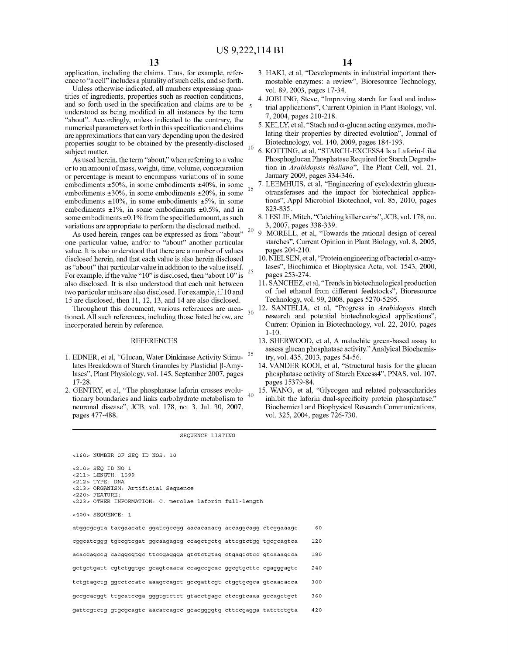application, including the claims. Thus, for example, reference to "a cell" includes a plurality of such cells, and so forth.

Unless otherwise indicated, all numbers expressing quantities of ingredients, properties such as reaction conditions, and so forth used in the specification and claims are to be understood as being modified in all instances by the term "about". Accordingly, unless indicated to the contrary, the numerical parameters set forth in this specification and claims are approximations that can vary depending upon the desired properties sought to be obtained by the presently-disclosed subject matter.

As used herein, the term "about," when referring to a value or to an amount of mass, weight, time, volume, concentration or percentage is meant to encompass variations of in some embodiments  $\pm 50\%$ , in some embodiments  $\pm 40\%$ , in some embodiments ±30%, in some embodiments ±20%, in some embodiments  $\pm 10\%$ , in some embodiments  $\pm 5\%$ , in some embodiments  $\pm 1\%$ , in some embodiments  $\pm 0.5\%$ , and in some embodiments  $\pm 0.1\%$  from the specified amount, as such variations are appropriate to perform the disclosed method. 20

As used herein, ranges can be expressed as from "about" one particular value, and/or to "about" another particular value. It is also understood that there are a number of values disclosed herein, and that each value is also herein disclosed as "about" that particular value in addition to the value itself. as about that particular value in addition to the value itself.<br>For example, if the value "10" is disclosed, then "about 10" is also disclosed. It is also understood that each unit between two particular units are also disclosed. For example, if 10 and 15 are disclosed, then 11, 12, 13, and 14 are also disclosed.

Throughout this document, various references are mentioned. All such references, including those listed below, are incorporated herein by reference.

#### REFERENCES

- 1. EDNER, et al, "Glucan, Water Dinkinase Activity Stimu-<sup>35</sup> lates Breakdown of Starch Granules by Plastidial  $\beta$ -Amylases", Plant Physiology, vol. 145, September 2007, pages 17-28.
- 2. GENTRY, et al, "The phosphatase laforin crosses evolutionary boundaries and links carbohydrate metabolism to neuronal disease", JCB, vol. 178, no. 3, Jul. 30, 2007, pages 477-488.

# **14**

- 3. HAKI, et al, "Developments in industrial important thermostable enzymes: a review", Bioresource Technology, vol. 89,2003, pages 17-34.
- 4. JOBLING, Steve, "Improving starch for food and industrial applications", Current Opinion in Plant Biology, vol. 7, 2004, pages 210-218.
- 5. KELLY, et al, "Stach and  $\alpha$ -glucan acting enzymes, modulating their properties by directed evolution", Journal of Biotechnology, vol. 140, 2009, pages 184-193. 10 6. KOTTING, eta!, "STARCH-EXCESS4 Is a Laforin-Like
	- Phosphoglucan Phosphatase Required for Starch Degradation in *Arabidopsis thaliana",* The Plant Cell, vol. 21, January 2009, pages 334-346.
	- 7. LEEMHUIS, et al, "Engineering of cyclodextrin glucanotransferases and the impact for biotechnical applications", Appl Microbial Biotechnol, vol. 85, 2010, pages 823-835.
	- 8. LESLIE, Mitch, "Catching killer carbs", JCB, vol. 178, no. 3, 2007, pages 338-339.
	- 9. MORELL, et al, "Towards the rational design of cereal starches", Current Opinion in Plant Biology, vol. 8, 2005, pages 204-210.
	- 10. NIELSEN, et al, "Protein engineering of bacterial  $\alpha$ -amylases", Biochimica et Biophysica Acta, vol. 1543, 2000, pages 253-274.
	- 11. SANCHEZ, et al, "Trends in biotechnological production of fuel ethanol from different feedstocks", Bioresource Technology, vol. 99, 2008, pages 5270-5295.
	- 12. SANTELIA, et al, "Progress in *Arabidopsis* starch research and potential biotechnological applications", Current Opinion in Biotechnology, vol. 22, 2010, pages 1-10.
	- 13. SHERWOOD, et al, A malachite green-based assay to assess glucan phosphatase activity." Analyical Biochemistry, vol. 435, 2013, pages 54-56.
	- 14. VANDER KOOI, et al, "Structural basis for the glucan phosphatase activity of Starch Excess4", PNAS, vol. 107, pages 15379-84.
- 15. WANG, et al, "Glycogen and related polysaccharides inhibit the laforin dual-specificity protein phosphatase." Biochemical and Biophysical Research Communications, vol. 325, 2004, pages 726-730.

#### SEQUENCE LISTING

<160> NUMBER OF SEQ ID NOS: 10 <210> SEQ ID NO 1 <211> LENGTH, 1599 <212> TYPE, DNA <213> ORGANISM, Artificial Sequence <220> FEATURE, <223> OTHER INFORMATION, C. merolae laforin full-length <400> SEQUENCE, 1 atggcgcgta tacgaacatc ggatcgccgg aacacaaacg accaggcagg ctcggaaagc 60 cggcatcggg tgccgtcgat ggcaagagcg ccagctgctg attcgtctgg tgcgcagtca 120 acaccagccg cacggcgtgc ttccgaggga gtctctgtag ctgagcctcc gtcaaagcca 180 gctgctgatt cgtctggtgc gcagtcaaca ccagccgcac ggcgtgcttc cgagggagtc 240 tctgtagctg ggcctccatc aaagccagct gccgattcgt ctggtgcgca gtcaacacca 300 gccgcacggt ttgcatccga gggtgtctct gtacctgagc ctccgtcaaa gccagctgct 360 gattcgtctg gtgcgcagtc aacaccagcc gcacggggtg cttccgagga tatctctgta 420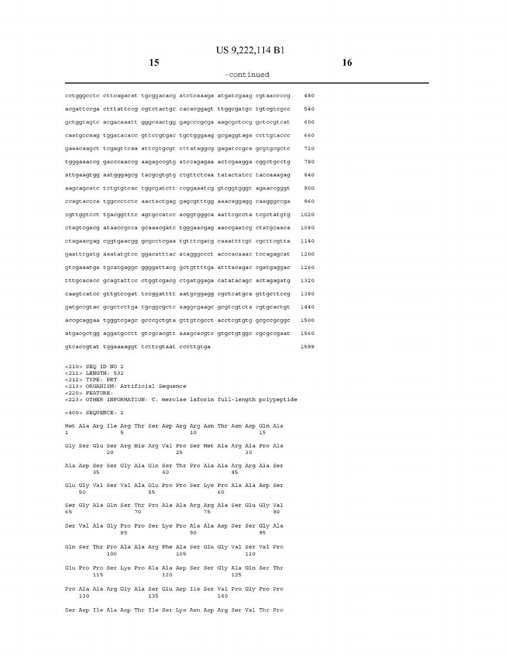# **US 9,222,114 B1**

**15** 

#### -continued

|                                                                             |     |                                            | cctgggcctc cttcagacat tgcggacacg atctcaaaga atgatcgaag cgtaaccccg      |     |                                                                     |
|-----------------------------------------------------------------------------|-----|--------------------------------------------|------------------------------------------------------------------------|-----|---------------------------------------------------------------------|
|                                                                             |     |                                            | acgatteega etttatteeg egtetaetge eaeaeggagt ttggegatge tgtegtegee      |     |                                                                     |
|                                                                             |     |                                            | gctggtagtc acgacaaatt gggcaactgg gagcccgcga aagcgctccg gctccgtcat      |     |                                                                     |
|                                                                             |     |                                            | caatgccaag tggatacacc gttccgtgac tgctgggaag gcgaggtaga ccttgtaccc      |     |                                                                     |
|                                                                             |     |                                            | gaaacaagct tcgagttcaa attcgtgcgt cttataggcg gagatccgca gcgtgcgctc      |     |                                                                     |
|                                                                             |     |                                            | tgggaaaccg gacccaaccg aagagccgtg atccagagaa actcgaagga cggctgcctg      |     |                                                                     |
|                                                                             |     |                                            | attgaagtgg aatgggagcg tacgcgtgtg ctgttctcaa tatactatcc taccaaagag      |     |                                                                     |
|                                                                             |     |                                            | aagcagcatc tctgtgtcac tggcgatctt ccggaaatcg gtcggtgggt agaaccgggt      |     |                                                                     |
|                                                                             |     |                                            | ccagtaccca tggccctctc aactactgag gagcgtttgg aaacaggagg caagggccga      |     |                                                                     |
|                                                                             |     |                                            | cgttggtect tgacggttte agtgecatee acggtgggea aattegecta tegetatgtg      |     |                                                                     |
|                                                                             |     |                                            | ctagtcgacg ataaccgcca gcaaacgatc tgggaacgag aaccgaatcg ctatgcaaca      |     |                                                                     |
|                                                                             |     |                                            | ctagaacgag cggtgaacgg gcgcctcgaa tgtttcgatg caaattttgt cgcttcgtta      |     |                                                                     |
|                                                                             |     |                                            | gaatttgatg aaatatgtee ggacatttae atagggeeet aeeeaeaaae teeagageat      |     |                                                                     |
|                                                                             |     |                                            | gtcgaaatga tgcatgaggc ggggattacg gctgttttga atttacagac cgatgaggac      |     |                                                                     |
|                                                                             |     |                                            | tttgcacacc gcagtattcc ctggtcgacg ctgatggaga catatacagc actagagatg      |     |                                                                     |
|                                                                             |     |                                            | caagtcatcc gttgtccgat tccggatttt aatgcggagg cgctcatgca gttgcttccg      |     |                                                                     |
|                                                                             |     |                                            | gatgccgtac gcgctcttga tgcggcgctc aaggcgaagc gcgtcgtcta cgtgcactgt      |     |                                                                     |
|                                                                             |     |                                            | accgcaggaa tgggtcgagc gcccgctgta gttgtcgcct acctcgtgtg gcgccgcggc      |     |                                                                     |
|                                                                             |     |                                            | atgacgctgg aggatgcctt gtcgcacgtt aaagcacgtc gtgctgtggc cgcgccgaat      |     |                                                                     |
|                                                                             |     | gtcaccgtat tggaaaaggt tettegtaat eeettgtga |                                                                        |     |                                                                     |
| <210> SEQ ID NO 2<br><211> LENGTH: 532<br><212> TYPE: PRT<br><220> FEATURE: |     | <213> ORGANISM: Artificial Sequence        |                                                                        |     | <223> OTHER INFORMATION: C. merolae laforin full-length polypeptide |
| $<400>$ SEQUENCE: 2                                                         |     |                                            |                                                                        |     |                                                                     |
| 1                                                                           | ц   |                                            | Met Ala Arg Ile Arg Thr Ser Asp Arg Arg Asn Thr Asn Asp Gln Ala<br>10  |     | 15                                                                  |
|                                                                             | 20  |                                            | Gly Ser Glu Ser Arq His Arq Val Pro Ser Met Ala Arq Ala Pro Ala<br>25  | 30  |                                                                     |
| 35                                                                          |     | 40                                         | Ala Asp Ser Ser Gly Ala Gln Ser Thr Pro Ala Ala Arg Arg Ala Ser        | 45  |                                                                     |
| 50                                                                          |     | 55                                         | Glu Gly Val Ser Val Ala Glu Pro Pro Ser Lys Pro Ala Ala Asp Ser        | 60  |                                                                     |
| 65                                                                          | 70  |                                            | Ser Gly Ala Gln Ser Thr Pro Ala Ala Arg Arg Ala Ser Glu Gly Val<br>75  |     | 80                                                                  |
|                                                                             | 85  |                                            | Ser Val Ala Gly Pro Pro Ser Lys Pro Ala Ala Asp Ser Ser Gly Ala<br>90  |     | 95                                                                  |
|                                                                             | 100 |                                            | Gln Ser Thr Pro Ala Ala Arg Phe Ala Ser Glu Gly Val Ser Val Pro<br>105 | 110 |                                                                     |

100 105 110

Glu Pro Pro Ser Lys Pro Ala Ala Asp Ser Ser Gly Ala Gln Ser Thr 115 120 125

Pro Ala Ala Arg Gly Ala Ser Glu Asp Ile Ser Val Pro Gly Pro Pro 140

Ser Asp Ile Ala Asp Thr Ile Ser Lys Asn Asp Arg Ser Val Thr Pro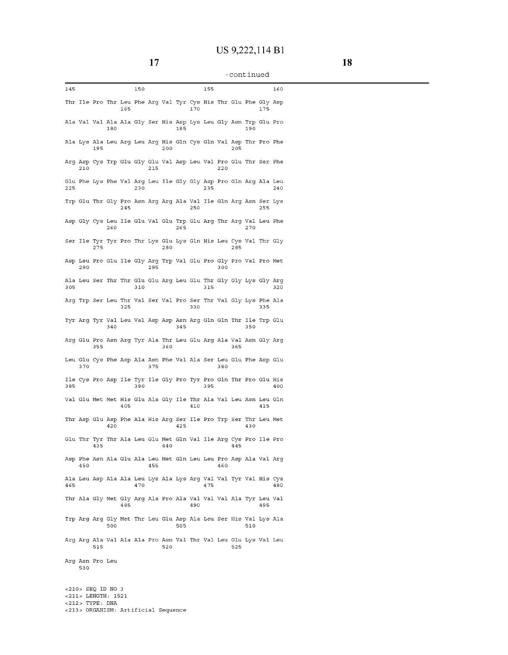| 145                                                                    |     |     |     |     | 150 |     |     |     |     | 155 |     |     |     |     | 160 |
|------------------------------------------------------------------------|-----|-----|-----|-----|-----|-----|-----|-----|-----|-----|-----|-----|-----|-----|-----|
| Thr Ile Pro Thr Leu Phe Arg Val Tyr Cys His Thr Glu Phe Gly Asp        |     |     |     | 165 |     |     |     |     | 170 |     |     |     |     | 175 |     |
| Ala Val Val Ala Ala Gly Ser His Asp Lys Leu Gly Asn Trp Glu Pro        |     |     | 180 |     |     |     |     | 185 |     |     |     |     | 190 |     |     |
| Ala Lys Ala Leu Arg Leu Arg His Gln Cys Gln Val Asp Thr Pro Phe        |     | 195 |     |     |     |     | 200 |     |     |     |     | 205 |     |     |     |
| Arg Asp Cys Trp Glu Gly Glu Val Asp Leu Val Pro Glu Thr Ser Phe        | 210 |     |     |     |     | 215 |     |     |     |     | 220 |     |     |     |     |
| Glu Phe Lys Phe Val Arg Leu Ile Gly Gly Asp Pro Gln Arg Ala Leu<br>225 |     |     |     |     | 230 |     |     |     |     | 235 |     |     |     |     | 240 |
| Trp Glu Thr Gly Pro Asn Arg Arg Ala Val Ile Gln Arg Asn Ser Lys        |     |     |     | 245 |     |     |     |     | 250 |     |     |     |     | 255 |     |
| Asp Gly Cys Leu Ile Glu Val Glu Trp Glu Arg Thr Arg Val Leu Phe        |     |     | 260 |     |     |     |     | 265 |     |     |     |     | 270 |     |     |
| Ser Ile Tyr Tyr Pro Thr Lys Glu Lys Gln His Leu Cys Val Thr Gly        |     | 275 |     |     |     |     | 280 |     |     |     |     | 285 |     |     |     |
| Asp Leu Pro Glu Ile Gly Arg Trp Val Glu Pro Gly Pro Val Pro Met        | 290 |     |     |     |     | 295 |     |     |     |     | 300 |     |     |     |     |
| Ala Leu Ser Thr Thr Glu Glu Arg Leu Glu Thr Gly Gly Lys Gly Arg<br>305 |     |     |     |     | 310 |     |     |     |     | 315 |     |     |     |     | 320 |
| Arg Trp Ser Leu Thr Val Ser Val Pro Ser Thr Val Gly Lys Phe Ala        |     |     |     | 325 |     |     |     |     | 330 |     |     |     |     | 335 |     |
| Tyr Arg Tyr Val Leu Val Asp Asp Asn Arg Gln Gln Thr Ile Trp Glu        |     |     | 340 |     |     |     |     | 345 |     |     |     |     | 350 |     |     |
| Arg Glu Pro Asn Arg Tyr Ala Thr Leu Glu Arg Ala Val Asn Gly Arg        |     | 355 |     |     |     |     | 360 |     |     |     |     | 365 |     |     |     |
| Leu Glu Cys Phe Asp Ala Asn Phe Val Ala Ser Leu Glu Phe Asp Glu        | 370 |     |     |     |     | 375 |     |     |     |     | 380 |     |     |     |     |
| Ile Cys Pro Asp Ile Tyr Ile Gly Pro Tyr Pro Gln Thr Pro Glu His<br>385 |     |     |     |     | 390 |     |     |     |     | 395 |     |     |     |     | 400 |
| Val Glu Met Met His Glu Ala Gly Ile Thr Ala Val Leu Asn Leu Gln        |     |     |     | 405 |     |     |     |     | 410 |     |     |     |     | 415 |     |
| Thr Asp Glu Asp Phe Ala His Arg Ser Ile Pro Trp Ser Thr Leu Met        |     |     | 420 |     |     |     |     | 425 |     |     |     |     | 430 |     |     |
| Glu Thr Tyr Thr Ala Leu Glu Met Gln Val Ile Arg Cys Pro Ile Pro        |     | 435 |     |     |     |     | 440 |     |     |     |     | 445 |     |     |     |
| Asp Phe Asn Ala Glu Ala Leu Met Gln Leu Leu Pro Asp Ala Val Arg        | 450 |     |     |     |     | 455 |     |     |     |     | 460 |     |     |     |     |
| Ala Leu Asp Ala Ala Leu Lys Ala Lys Arg Val Val Tyr Val His Cys<br>465 |     |     |     |     | 470 |     |     |     |     | 475 |     |     |     |     | 480 |
| Thr Ala Gly Met Gly Arg Ala Pro Ala Val Val Val Ala Tyr Leu Val        |     |     |     |     |     |     |     |     |     |     |     |     |     |     |     |
| Trp Arg Arg Gly Met Thr Leu Glu Asp Ala Leu Ser His Val Lys Ala        |     |     |     | 485 |     |     |     |     | 490 |     |     |     |     | 495 |     |
| Arg Arg Ala Val Ala Ala Pro Asn Val Thr Val Leu Glu Lys Val Leu        |     |     | 500 |     |     |     |     | 505 |     |     |     |     | 510 |     |     |
| Arg Asn Pro Leu                                                        |     | 515 |     |     |     |     | 520 |     |     |     |     | 525 |     |     |     |
|                                                                        | 530 |     |     |     |     |     |     |     |     |     |     |     |     |     |     |
| $<$ 210 > SEQ ID NO 3<br><211> LENGTH: 1521                            |     |     |     |     |     |     |     |     |     |     |     |     |     |     |     |

<212> TYPE, DNA <213> ORGANISM, Artificial Sequence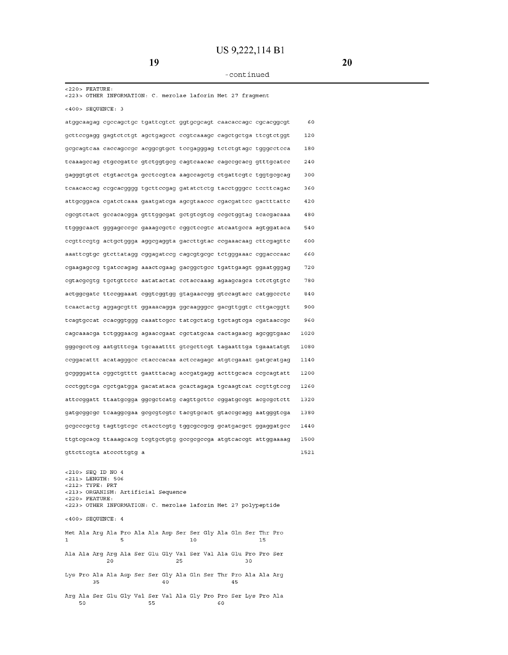<220> FEATURE, <223> OTHER INFORMATION, C. merolae laforin Met 27 fragment <400> SEQUENCE, 3 atggcaagag cgccagctgc tgattcgtct ggtgcgcagt caacaccagc cgcacggcgt gcttccgagg gagtctctgt agctgagcct ccgtcaaagc cagctgctga ttcgtctggt gcgcagtcaa caccagccgc acggcgtgct tccgagggag tctctgtagc tgggcctcca tcaaagccag ctgccgattc gtctggtgcg cagtcaacac cagccgcacg gtttgcatcc gagggtgtct ctgtacctga gcctccgtca aagccagctg ctgattcgtc tggtgcgcag tcaacaccag ccgcacgggg tgcttccgag gatatctctg tacctgggcc tccttcagac **attgcggaca cgatctcaaa gaatgatcga agcgtaaccc cgacgattcc gactttattc**  cgcgtctact gccacacgga gtttggcgat gctgtcgtcg ccgctggtag tcacgacaaa ttgggcaact gggagcccgc gaaagcgctc cggctccgtc atcaatgcca agtggataca ccgttccgtg actgctggga aggcgaggta gaccttgtac ccgaaacaag cttcgagttc aaattcgtgc gtcttatagg cggagatccg cagcgtgcgc tctgggaaac cggacccaac cgaagagccg tgatccagag aaactcgaag gacggctgcc tgattgaagt ggaatgggag cgtacgcgtg tgctgttctc aatatactat cctaccaaag agaagcagca tctctgtgtc actggcgatc ttccggaaat cggtcggtgg gtagaaccgg gtccagtacc catggccctc tcaactactg aggagcgttt ggaaacagga ggcaagggcc gacgttggtc cttgacggtt tcagtgccat ccacggtggg caaattcgcc tatcgctatg tgctagtcga cgataaccgc **cagcaaacga tctgggaacg agaaccgaat cgctatgcaa cactagaacg agcggtgaac**  gggcgcctcg aatgtttcga tgcaaatttt gtcgcttcgt tagaatttga tgaaatatgt **ccggacattt acatagggcc ctacccacaa actccagagc atgtcgaaat gatgcatgag**  gcggggatta cggctgtttt gaatttacag accgatgagg actttgcaca ccgcagtatt ccctggtcga cgctgatgga gacatataca gcactagaga tgcaagtcat ccgttgtccg attccggatt ttaatgcgga ggcgctcatg cagttgcttc cggatgccgt acgcgctctt gatgcggcgc tcaaggcgaa gcgcgtcgtc tacgtgcact gtaccgcagg aatgggtcga gcgcccgctg tagttgtcgc ctacctcgtg tggcgccgcg gcatgacgct ggaggatgcc ttgtcgcacg ttaaagcacg tcgtgctgtg gccgcgccga atgtcaccgt attggaaaag gttcttcgta atcccttgtg a <210> SEQ ID NO 4 <211> LENGTH, 506 <212> TYPE, PRT <213> ORGANISM, Artificial Sequence <220> FEATURE, <223> OTHER INFORMATION, C. merolae laforin Met 27 polypeptide <400> SEQUENCE, 4 Met Ala Arg Ala Pro Ala Ala Asp Ser Ser Gly Ala Gln Ser Thr Pro 1 5 10 15 Ala Ala Arg Arg Ala Ser Glu Gly Val Ser Val Ala Glu Pro Pro Ser 20 25 30 Lys Pro Ala Ala Asp Ser Ser Gly Ala Gln Ser Thr Pro Ala Ala Arg 35 40 45 Arg Ala Ser Glu Gly Val Ser Val Ala Gly Pro Pro Ser Lys Pro Ala 50 55 60 60 120 180 240 300 360 420 480 540 600 660 720 780 840 900 960 1020 1080 1140 1200 1260 1320 1380 1440 1500 1521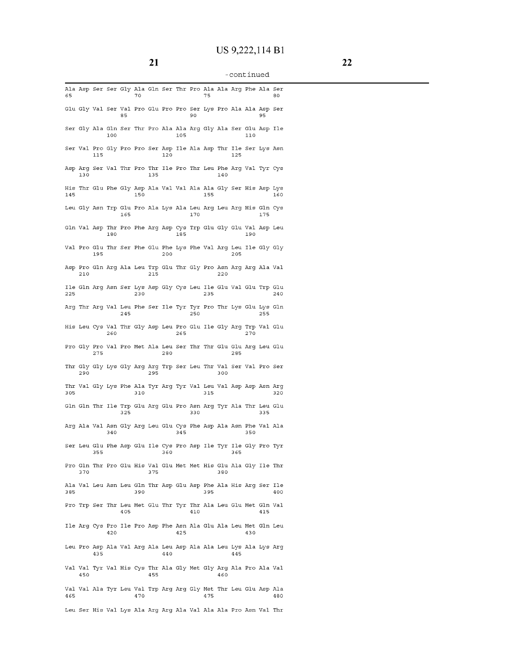| 65  |     |     |     |     | 70  |     |     |     |     | 75  |     |     | Ala Asp Ser Ser Gly Ala Gln Ser Thr Pro Ala Ala Arg Phe Ala Ser        |     | 80  |
|-----|-----|-----|-----|-----|-----|-----|-----|-----|-----|-----|-----|-----|------------------------------------------------------------------------|-----|-----|
|     |     |     |     | 85  |     |     |     |     | 90  |     |     |     | Glu Gly Val Ser Val Pro Glu Pro Pro Ser Lys Pro Ala Ala Asp Ser        | 95  |     |
|     |     |     | 100 |     |     |     |     | 105 |     |     |     |     | Ser Gly Ala Gln Ser Thr Pro Ala Ala Arg Gly Ala Ser Glu Asp Ile<br>110 |     |     |
|     |     | 115 |     |     |     |     | 120 |     |     |     |     | 125 | Ser Val Pro Gly Pro Pro Ser Asp Ile Ala Asp Thr Ile Ser Lys Asn        |     |     |
|     | 130 |     |     |     |     | 135 |     |     |     |     | 140 |     | Asp Arg Ser Val Thr Pro Thr Ile Pro Thr Leu Phe Arg Val Tyr Cys        |     |     |
| 145 |     |     |     |     | 150 |     |     |     |     | 155 |     |     | His Thr Glu Phe Gly Asp Ala Val Val Ala Ala Gly Ser His Asp Lys        |     | 160 |
|     |     |     |     | 165 |     |     |     |     | 170 |     |     |     | Leu Gly Asn Trp Glu Pro Ala Lys Ala Leu Arg Leu Arg His Gln Cys        | 175 |     |
|     |     |     | 180 |     |     |     |     | 185 |     |     |     |     | Gln Val Asp Thr Pro Phe Arg Asp Cys Trp Glu Gly Glu Val Asp Leu<br>190 |     |     |
|     |     | 195 |     |     |     |     | 200 |     |     |     |     | 205 | Val Pro Glu Thr Ser Phe Glu Phe Lys Phe Val Arg Leu Ile Gly Gly        |     |     |
|     | 210 |     |     |     |     | 215 |     |     |     |     | 220 |     | Asp Pro Gln Arg Ala Leu Trp Glu Thr Gly Pro Asn Arg Arg Ala Val        |     |     |
| 225 |     |     |     |     | 230 |     |     |     |     | 235 |     |     | Ile Gln Arg Asn Ser Lys Asp Gly Cys Leu Ile Glu Val Glu Trp Glu        |     | 240 |
|     |     |     |     | 245 |     |     |     |     | 250 |     |     |     | Arg Thr Arg Val Leu Phe Ser Ile Tyr Tyr Pro Thr Lys Glu Lys Gln        | 255 |     |
|     |     |     | 260 |     |     |     |     | 265 |     |     |     |     | His Leu Cys Val Thr Gly Asp Leu Pro Glu Ile Gly Arg Trp Val Glu<br>270 |     |     |
|     |     | 275 |     |     |     |     | 280 |     |     |     |     | 285 | Pro Gly Pro Val Pro Met Ala Leu Ser Thr Thr Glu Glu Arg Leu Glu        |     |     |
|     | 290 |     |     |     |     | 295 |     |     |     |     | 300 |     | Thr Gly Gly Lys Gly Arg Arg Trp Ser Leu Thr Val Ser Val Pro Ser        |     |     |
| 305 |     |     |     |     | 310 |     |     |     |     | 315 |     |     | Thr Val Gly Lys Phe Ala Tyr Arg Tyr Val Leu Val Asp Asp Asn Arg        |     | 320 |
|     |     |     |     | 325 |     |     |     |     | 330 |     |     |     | Gln Gln Thr Ile Trp Glu Arg Glu Pro Asn Arg Tyr Ala Thr Leu Glu        | 335 |     |
|     |     |     | 340 |     |     |     |     | 345 |     |     |     |     | Arg Ala Val Asn Gly Arg Leu Glu Cys Phe Asp Ala Asn Phe Val Ala<br>350 |     |     |
|     |     | 355 |     |     |     |     | 360 |     |     |     |     | 365 | Ser Leu Glu Phe Asp Glu Ile Cys Pro Asp Ile Tyr Ile Gly Pro Tyr        |     |     |
|     | 370 |     |     |     |     | 375 |     |     |     |     | 380 |     | Pro Gln Thr Pro Glu His Val Glu Met Met His Glu Ala Gly Ile Thr        |     |     |
| 385 |     |     |     |     | 390 |     |     |     |     | 395 |     |     | Ala Val Leu Asn Leu Gln Thr Asp Glu Asp Phe Ala His Arg Ser Ile        |     | 400 |
|     |     |     |     | 405 |     |     |     |     | 410 |     |     |     | Pro Trp Ser Thr Leu Met Glu Thr Tyr Thr Ala Leu Glu Met Gln Val        | 415 |     |
|     |     |     | 420 |     |     |     |     | 425 |     |     |     |     | Ile Arg Cys Pro Ile Pro Asp Phe Asn Ala Glu Ala Leu Met Gln Leu<br>430 |     |     |
|     |     | 435 |     |     |     |     | 440 |     |     |     |     | 445 | Leu Pro Asp Ala Val Arq Ala Leu Asp Ala Ala Leu Lys Ala Lys Arq        |     |     |
|     | 450 |     |     |     |     | 455 |     |     |     |     | 460 |     | Val Val Tyr Val His Cys Thr Ala Gly Met Gly Arg Ala Pro Ala Val        |     |     |
| 465 |     |     |     |     | 470 |     |     |     |     | 475 |     |     | Val Val Ala Tyr Leu Val Trp Arg Arg Gly Met Thr Leu Glu Asp Ala        |     | 480 |
|     |     |     |     |     |     |     |     |     |     |     |     |     | Leu Ser His Val Lys Ala Arg Arg Ala Val Ala Ala Pro Asn Val Thr        |     |     |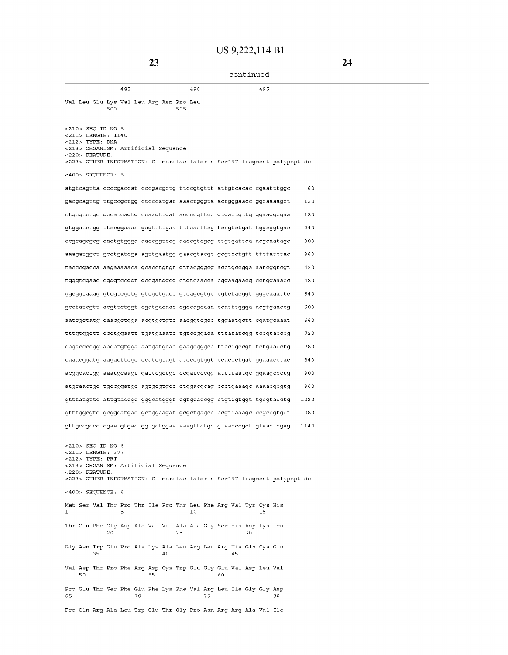| 485                                                                                                                                                                                                   | 490 | 495 |      |
|-------------------------------------------------------------------------------------------------------------------------------------------------------------------------------------------------------|-----|-----|------|
| Val Leu Glu Lys Val Leu Arg Asn Pro Leu<br>500<br>505                                                                                                                                                 |     |     |      |
| <210> SEQ ID NO 5<br><211> LENGTH: 1140<br>$<$ 212> TYPE: DNA<br><213> ORGANISM: Artificial Sequence<br>$<$ 220 > FEATURE:<br><223> OTHER INFORMATION: C. merolae laforin Ser157 fragment polypeptide |     |     |      |
| $<400>$ SEOUENCE: 5                                                                                                                                                                                   |     |     |      |
| atgtcagtta ccccgaccat cccgacgctg ttccgtgttt attgtcacac cgaatttggc                                                                                                                                     |     |     | 60   |
| gacgcagttg ttgccgctgg ctcccatgat aaactgggta actgggaacc ggcaaaagct                                                                                                                                     |     |     | 120  |
| ctgcgtctgc gccatcagtg ccaagttgat accccgttcc gtgactgttg ggaaggcgaa                                                                                                                                     |     |     | 180  |
| gtggatetgg tteeggaaae gagttttgaa tttaaatteg teegtetgat tggeggtgae                                                                                                                                     |     |     | 240  |
| ccgcagcgcg cactgtggga aaccggtccg aaccgtcgcg ctgtgattca acgcaatagc                                                                                                                                     |     |     | 300  |
| aaagatggct gectgatega agttgaatgg gaacgtaege gegteetgtt ttetatetae                                                                                                                                     |     |     | 360  |
| tacccgacca aagaaaaaca gcacctgtgt gttacgggcg acctgccgga aatcggtcgt                                                                                                                                     |     |     | 420  |
| tgggtcgaac cgggtccggt gccgatggcg ctgtcaacca cggaagaacg cctggaaacc                                                                                                                                     |     |     | 480  |
| ggcggtaaag gtcgtcgctg gtcgctgacc gtcagcgtgc cgtctacggt gggcaaattc                                                                                                                                     |     |     | 540  |
| gcctatcgtt acgttctggt cgatgacaac cgccagcaaa ccatttggga acgtgaaccg                                                                                                                                     |     |     | 600  |
| aatcgctatg caacgctgga acgtgctgtc aacggtcgcc tggaatgctt cgatgcaaat                                                                                                                                     |     |     | 660  |
| tttgtggett eeetggaatt tgatgaaate tgteeggaea tttatategg teegtaeeeg                                                                                                                                     |     |     | 720  |
| cagaccccgg aacatgtgga aatgatgcac gaagcgggca ttaccgccgt tctgaacctg                                                                                                                                     |     |     | 780  |
| caaacggatg aagacttcgc ccatcgtagt atcccgtggt ccaccctgat ggaaacctac                                                                                                                                     |     |     | 840  |
| acggcactgg aaatgcaagt gattcgctgc ccgatcccgg attttaatgc ggaagccctg                                                                                                                                     |     |     | 900  |
| atgcaactgc tgccggatgc agtgcgtgcc ctggacgcag ccctgaaagc aaaacgcgtg                                                                                                                                     |     |     | 960  |
| gtttatgtte attgtaeege gggeatgggt egtgeaeegg etgtegtggt tgegtaeetg                                                                                                                                     |     |     | 1020 |
| gtttggcgtc gcggcatgac gctggaagat gcgctgagcc acgtcaaagc ccgccgtgct                                                                                                                                     |     |     | 1080 |
| gttgccgccc cgaatgtgac ggtgctggaa aaagttctgc gtaacccgct gtaactcgag                                                                                                                                     |     |     | 1140 |
| <210> SEO ID NO 6<br><211> LENGTH: 377<br>$<$ 212> TYPE: PRT<br><213> ORGANISM: Artificial Sequence<br>$<$ 220 > FEATURE:<br><223> OTHER INFORMATION: C. merolae laforin Ser157 fragment polypeptide  |     |     |      |
| $<$ 400 > SEQUENCE: 6                                                                                                                                                                                 |     |     |      |
| Met Ser Val Thr Pro Thr Ile Pro Thr Leu Phe Arg Val Tyr Cys His<br>5<br>1                                                                                                                             | 10  | 15  |      |
| Thr Glu Phe Gly Asp Ala Val Val Ala Ala Gly Ser His Asp Lys Leu<br>20<br>25                                                                                                                           |     | 30  |      |
| Gly Asn Trp Glu Pro Ala Lys Ala Leu Arg Leu Arg His Gln Cys Gln<br>35<br>40                                                                                                                           |     | 45  |      |
| Val Asp Thr Pro Phe Arg Asp Cys Trp Glu Gly Glu Val Asp Leu Val<br>50<br>55                                                                                                                           |     | 60  |      |
| Pro Glu Thr Ser Phe Glu Phe Lys Phe Val Arg Leu Ile Gly Gly Asp<br>65<br>70                                                                                                                           | 75  | 80  |      |
| Pro Gln Arg Ala Leu Trp Glu Thr Gly Pro Asn Arg Arg Ala Val Ile                                                                                                                                       |     |     |      |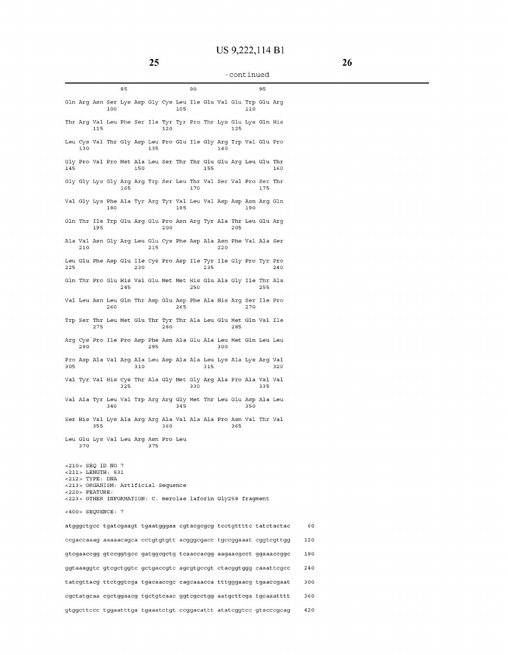|                                                                                                             | 85                                         | 90                                                                            | 95  |
|-------------------------------------------------------------------------------------------------------------|--------------------------------------------|-------------------------------------------------------------------------------|-----|
|                                                                                                             | 100                                        | Gln Arg Asn Ser Lys Asp Gly Cys Leu Ile Glu Val Glu Trp Glu Arg<br>105<br>110 |     |
| 115                                                                                                         |                                            | Thr Arg Val Leu Phe Ser Ile Tyr Tyr Pro Thr Lys Glu Lys Gln His<br>120<br>125 |     |
| 130                                                                                                         | 135                                        | Leu Cys Val Thr Gly Asp Leu Pro Glu Ile Gly Arg Trp Val Glu Pro<br>140        |     |
| 145                                                                                                         | 150                                        | Gly Pro Val Pro Met Ala Leu Ser Thr Thr Glu Glu Arg Leu Glu Thr<br>155        | 160 |
|                                                                                                             | 165                                        | Gly Gly Lys Gly Arg Arg Trp Ser Leu Thr Val Ser Val Pro Ser Thr<br>170        | 175 |
|                                                                                                             | 180                                        | Val Gly Lys Phe Ala Tyr Arg Tyr Val Leu Val Asp Asp Asn Arg Gln<br>185<br>190 |     |
| 195                                                                                                         |                                            | Gln Thr Ile Trp Glu Arg Glu Pro Asn Arg Tyr Ala Thr Leu Glu Arg<br>200<br>205 |     |
| 210                                                                                                         | 215                                        | Ala Val Asn Gly Arg Leu Glu Cys Phe Asp Ala Asn Phe Val Ala Ser<br>220        |     |
| 225                                                                                                         | 230                                        | Leu Glu Phe Asp Glu Ile Cys Pro Asp Ile Tyr Ile Gly Pro Tyr Pro<br>235        | 240 |
|                                                                                                             | 245                                        | Gln Thr Pro Glu His Val Glu Met Met His Glu Ala Gly Ile Thr Ala<br>250        | 255 |
|                                                                                                             | 260                                        | Val Leu Asn Leu Gln Thr Asp Glu Asp Phe Ala His Arg Ser Ile Pro<br>265<br>270 |     |
| 275                                                                                                         |                                            | Trp Ser Thr Leu Met Glu Thr Tyr Thr Ala Leu Glu Met Gln Val Ile<br>280<br>285 |     |
| 290                                                                                                         | 295                                        | Arg Cys Pro Ile Pro Asp Phe Asn Ala Glu Ala Leu Met Gln Leu Leu<br>300        |     |
| 305                                                                                                         | 310                                        | Pro Asp Ala Val Arg Ala Leu Asp Ala Ala Leu Lys Ala Lys Arg Val<br>315        | 320 |
|                                                                                                             | 325                                        | Val Tyr Val His Cys Thr Ala Gly Met Gly Arg Ala Pro Ala Val Val<br>330        | 335 |
|                                                                                                             | 340                                        | Val Ala Tyr Leu Val Trp Arg Arg Gly Met Thr Leu Glu Asp Ala Leu<br>345<br>350 |     |
| 355                                                                                                         |                                            | Ser His Val Lys Ala Arg Arg Ala Val Ala Ala Pro Asn Val Thr Val<br>360<br>365 |     |
| 370                                                                                                         | Leu Glu Lys Val Leu Arg Asn Pro Leu<br>375 |                                                                               |     |
| <210> SEQ ID NO 7<br>$<$ 211 > LENGTH: 831<br>$<$ 212> TYPE: DNA<br>$<$ 220 > FEATURE:<br><400> SEQUENCE: 7 | <213> ORGANISM: Artificial Sequence        | <223> OTHER INFORMATION: C. merolae laforin Gly258 fragment                   |     |
|                                                                                                             |                                            | atgggetgee tgategaagt tgaatgggaa egtaegegeg teetgtttte tatetaetae             | 60  |
|                                                                                                             |                                            | ccgaccaaag aaaaacagca cctgtgtgtt acgggcgacc tgccggaaat cggtcgttgg             | 120 |
|                                                                                                             |                                            | gtcgaaccgg gtccggtgcc gatggcgctg tcaaccacgg aagaacgcct ggaaaccggc             | 180 |
|                                                                                                             |                                            | ggtaaaggte gtegetggte getgaeegte agegtgeegt etaeggtggg eaaattegee             | 240 |
|                                                                                                             |                                            | tategttaeg ttetggtega tgacaacege cagcaaacea tttgggaaeg tgaacegaat             | 300 |
|                                                                                                             |                                            | cgctatgcaa cgctggaacg tgctgtcaac ggtcgcctgg aatgcttcga tgcaaatttt             | 360 |
|                                                                                                             |                                            | gtggetteee tggaatttga tgaaatetgt eeggaeattt atateggtee gtaeeegeag             | 420 |

 $\overline{\phantom{a}}$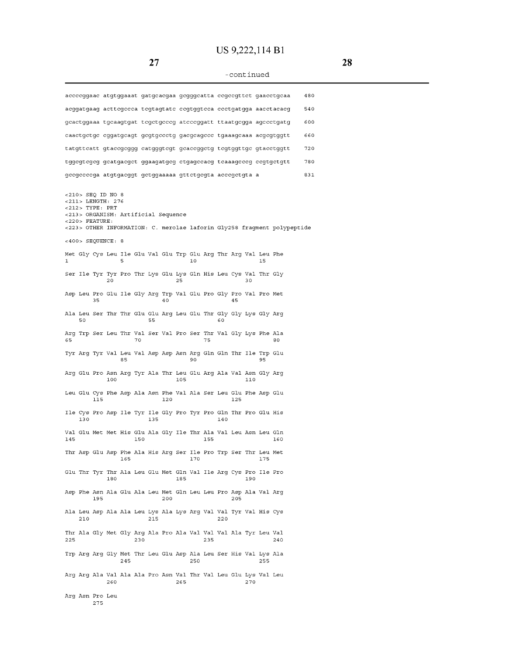# **US 9,222,114 B1**

# -continued

|     |                                                                                    |     |     |     |     |     |                                                                        |     |     |     |     |     |     |     | accccggaac atgtggaaat gatgcacgaa gcgggcatta ccgccgttct gaacctgcaa       | 480 |  |
|-----|------------------------------------------------------------------------------------|-----|-----|-----|-----|-----|------------------------------------------------------------------------|-----|-----|-----|-----|-----|-----|-----|-------------------------------------------------------------------------|-----|--|
|     |                                                                                    |     |     |     |     |     |                                                                        |     |     |     |     |     |     |     | acqqatqaaq acttcqccca tcqtaqtatc ccqtqqtcca ccctqatqqa aacctacacq       | 540 |  |
|     |                                                                                    |     |     |     |     |     |                                                                        |     |     |     |     |     |     |     | gcactggaaa tgcaagtgat tcgctgcccg atcccggatt ttaatgcgga agccctgatg       | 600 |  |
|     |                                                                                    |     |     |     |     |     |                                                                        |     |     |     |     |     |     |     | caactgctgc cggatgcagt gcgtgccctg gacgcagccc tgaaagcaaa acgcgtggtt       | 660 |  |
|     |                                                                                    |     |     |     |     |     |                                                                        |     |     |     |     |     |     |     | tatgttcatt gtaccgcggg catgggtcgt gcaccggctg tcgtggttgc gtacctggtt       | 720 |  |
|     |                                                                                    |     |     |     |     |     |                                                                        |     |     |     |     |     |     |     | tggcgtcgcg gcatgacgct ggaagatgcg ctgagccacg tcaaagcccg ccgtgctgtt       | 780 |  |
|     |                                                                                    |     |     |     |     |     | gccgccccga atgtgacggt gctggaaaaa gttctgcgta acccgctgta a               |     |     |     |     |     |     |     |                                                                         | 831 |  |
|     | <210> SEQ ID NO 8<br><211> LENGTH: 276<br>$<$ 212> TYPE: PRT<br>$<$ 220 > FEATURE: |     |     |     |     |     | <213> ORGANISM: Artificial Sequence                                    |     |     |     |     |     |     |     | <223> OTHER INFORMATION: C. merolae laforin Gly258 fragment polypeptide |     |  |
|     | $<400>$ SEQUENCE: 8                                                                |     |     |     |     |     |                                                                        |     |     |     |     |     |     |     |                                                                         |     |  |
| 1   |                                                                                    |     |     | 5   |     |     | Met Gly Cys Leu Ile Glu Val Glu Trp Glu Arg Thr Arg Val Leu Phe        |     | 10  |     |     |     |     | 15  |                                                                         |     |  |
|     |                                                                                    |     | 20  |     |     |     | Ser Ile Tyr Tyr Pro Thr Lys Glu Lys Gln His Leu Cys Val Thr Gly        | 25  |     |     |     |     | 30  |     |                                                                         |     |  |
|     |                                                                                    | 35  |     |     |     |     | Asp Leu Pro Glu Ile Gly Arg Trp Val Glu Pro Gly Pro Val Pro Met<br>40  |     |     |     |     | 45  |     |     |                                                                         |     |  |
|     | 50                                                                                 |     |     |     |     | 55  | Ala Leu Ser Thr Thr Glu Glu Arg Leu Glu Thr Gly Gly Lys Gly Arg        |     |     |     | 60  |     |     |     |                                                                         |     |  |
| 65  |                                                                                    |     |     |     | 70  |     | Arg Trp Ser Leu Thr Val Ser Val Pro Ser Thr Val Gly Lys Phe Ala        |     |     | 75  |     |     |     |     | 80                                                                      |     |  |
|     |                                                                                    |     |     | 85  |     |     | Tyr Arg Tyr Val Leu Val Asp Asp Asn Arg Gln Gln Thr Ile Trp Glu        |     | 90  |     |     |     |     | 95  |                                                                         |     |  |
|     |                                                                                    |     | 100 |     |     |     | Arg Glu Pro Asn Arg Tyr Ala Thr Leu Glu Arg Ala Val Asn Gly Arg        | 105 |     |     |     |     | 110 |     |                                                                         |     |  |
|     |                                                                                    | 115 |     |     |     |     | Leu Glu Cys Phe Asp Ala Asn Phe Val Ala Ser Leu Glu Phe Asp Glu<br>120 |     |     |     |     | 125 |     |     |                                                                         |     |  |
|     | 130                                                                                |     |     |     |     | 135 | Ile Cys Pro Asp Ile Tyr Ile Gly Pro Tyr Pro Gln Thr Pro Glu His        |     |     |     | 140 |     |     |     |                                                                         |     |  |
| 145 |                                                                                    |     |     |     | 150 |     | Val Glu Met Met His Glu Ala Gly Ile Thr Ala Val Leu Asn Leu Gln        |     |     | 155 |     |     |     |     | 160                                                                     |     |  |
|     |                                                                                    |     |     | 165 |     |     | Thr Asp Glu Asp Phe Ala His Arg Ser Ile Pro Trp Ser Thr Leu Met        |     | 170 |     |     |     |     | 175 |                                                                         |     |  |
|     |                                                                                    |     | 180 |     |     |     | Glu Thr Tyr Thr Ala Leu Glu Met Gln Val Ile Arg Cys Pro Ile Pro        | 185 |     |     |     |     | 190 |     |                                                                         |     |  |
|     |                                                                                    | 195 |     |     |     |     | Asp Phe Asn Ala Glu Ala Leu Met Gln Leu Leu Pro Asp Ala Val Arg<br>200 |     |     |     |     | 205 |     |     |                                                                         |     |  |
|     | 210                                                                                |     |     |     |     | 215 | Ala Leu Asp Ala Ala Leu Lys Ala Lys Arg Val Val Tyr Val His Cys        |     |     |     | 220 |     |     |     |                                                                         |     |  |
| 225 |                                                                                    |     |     |     | 230 |     | Thr Ala Gly Met Gly Arg Ala Pro Ala Val Val Val Ala Tyr Leu Val        |     |     | 235 |     |     |     |     | 240                                                                     |     |  |
|     |                                                                                    |     |     | 245 |     |     | Trp Arg Arg Gly Met Thr Leu Glu Asp Ala Leu Ser His Val Lys Ala        |     | 250 |     |     |     |     | 255 |                                                                         |     |  |
|     |                                                                                    |     | 260 |     |     |     | Arg Arg Ala Val Ala Ala Pro Asn Val Thr Val Leu Glu Lys Val Leu        | 265 |     |     |     |     | 270 |     |                                                                         |     |  |
|     | Arg Asn Pro Leu                                                                    | 275 |     |     |     |     |                                                                        |     |     |     |     |     |     |     |                                                                         |     |  |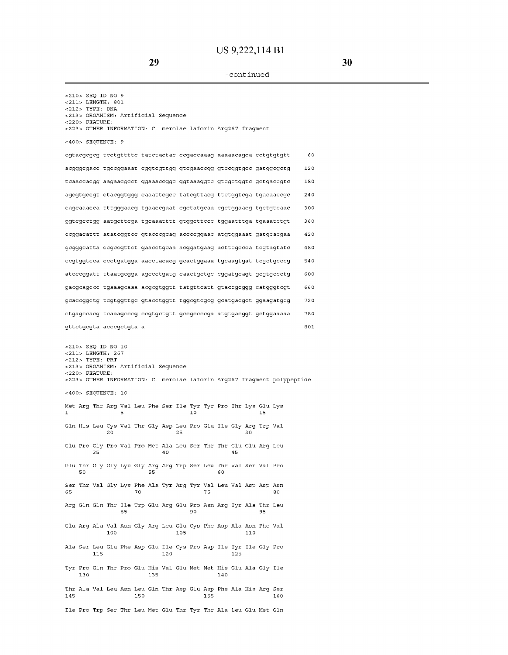<210> SEQ ID NO 9 <211> LENGTH, 801 <212> TYPE, DNA <213> ORGANISM, Artificial Sequence <220> FEATURE, <223> OTHER INFORMATION, C. merolae laforin Arg267 fragment <400> SEQUENCE, 9 **cgtacgcgcg tcctgttttc tatctactac ccgaccaaag aaaaacagca cctgtgtgtt 60**  acgggcgacc tgccggaaat cggtcgttgg gtcgaaccgg gtccggtgcc gatggcgctg 120 tcaaccacgg aagaacgcct ggaaaccggc ggtaaaggtc gtcgctggtc gctgaccgtc 180 agcgtgccgt ctacggtggg caaattcgcc tatcgttacg ttctggtcga tgacaaccgc 240 cagcaaacca tttgggaacg tgaaccgaat cgctatgcaa cgctggaacg tgctgtcaac 300 ggtcgcctgg aatgcttcga tgcaaatttt gtggcttccc tggaatttga tgaaatctgt 360 ccggacattt atatcggtcc gtacccgcag accccggaac atgtggaaat gatgcacgaa 420 gcgggcatta ccgccgttct gaacctgcaa acggatgaag acttcgccca tcgtagtatc 480 ccgtggtcca ccctgatgga aacctacacg gcactggaaa tgcaagtgat tcgctgcccg 540 atcccggatt ttaatgcgga agccctgatg caactgctgc cggatgcagt gcgtgccctg 600 gacgcagccc tgaaagcaaa acgcgtggtt tatgttcatt gtaccgcggg catgggtcgt 660 gcaccggctg tcgtggttgc gtacctggtt tggcgtcgcg gcatgacgct ggaagatgcg 720 ctgagccacg tcaaagcccg ccgtgctgtt gccgccccga atgtgacggt gctggaaaaa 780 gttctgcgta acccgctgta a 801 <210> SEQ ID NO 10 <211> LENGTH, 267 <212> TYPE, PRT <213> ORGANISM, Artificial Sequence <220> FEATURE, <223> OTHER INFORMATION, C. merolae laforin Arg267 fragment polypeptide <400> SEQUENCE, 10 Met Arg Thr Arg Val Leu Phe Ser Ile Tyr Tyr Pro Thr Lys Glu Lys 1 5 10 15 Gln His Leu Cys Val Thr Gly Asp Leu Pro Glu Ile Gly Arg Trp Val 20 25 30 Glu Pro Gly Pro Val Pro Met Ala Leu Ser Thr Thr Glu Glu Arg Leu 35 40 45 Glu Thr Gly Gly Lys Gly Arg Arg Trp Ser Leu Thr Val Ser Val Pro<br>50 55 60 50 55 60 Ser Thr Val Gly Lys Phe Ala Tyr Arg Tyr Val Leu Val Asp Asp Asn 65 70 75 80 Arg Gln Gln Thr Ile Trp Glu Arg Glu Pro Asn Arg Tyr Ala Thr Leu 85 90 96 95 Glu Arg Ala Val Asn Gly Arg Leu Glu Cys Phe Asp Ala Asn Phe Val 100 105 110 Ala Ser Leu Glu Phe Asp Glu Ile Cys Pro Asp Ile Tyr Ile Gly Pro 115 120 125 Tyr Pro Gln Thr Pro Glu His Val Glu Met Met His Glu Ala Gly Ile 130 135 140 Thr Ala Val Leu Asn Leu Gln Thr Asp Glu Asp Phe Ala His Arg Ser 145 150 155 160

Ile Pro Trp Ser Thr Leu Met Glu Thr Tyr Thr Ala Leu Glu Met Gln